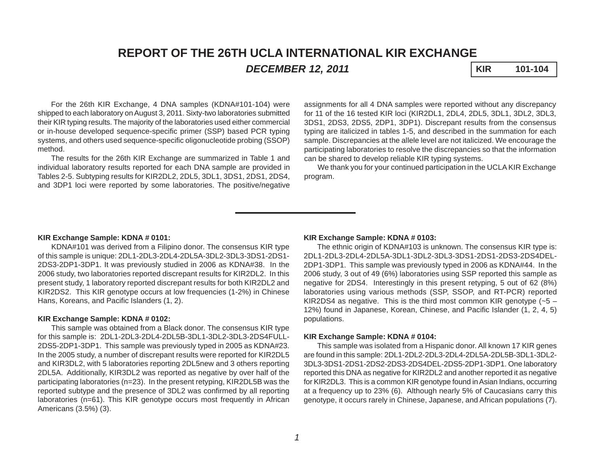# **REPORT OF THE 26TH UCLA INTERNATIONAL KIR EXCHANGE DECEMBER 12, 2011 KIR 101-104**

For the 26th KIR Exchange, 4 DNA samples (KDNA#101-104) were shipped to each laboratory on August 3, 2011. Sixty-two laboratories submitted their KIR typing results. The majority of the laboratories used either commercial or in-house developed sequence-specific primer (SSP) based PCR typing systems, and others used sequence-specific oligonucleotide probing (SSOP) method.

The results for the 26th KIR Exchange are summarized in Table 1 and individual laboratory results reported for each DNA sample are provided in Tables 2-5. Subtyping results for KIR2DL2, 2DL5, 3DL1, 3DS1, 2DS1, 2DS4, and 3DP1 loci were reported by some laboratories. The positive/negative

assignments for all 4 DNA samples were reported without any discrepancy for 11 of the 16 tested KIR loci (KIR2DL1, 2DL4, 2DL5, 3DL1, 3DL2, 3DL3, 3DS1, 2DS3, 2DS5, 2DP1, 3DP1). Discrepant results from the consensus typing are italicized in tables 1-5, and described in the summation for each sample. Discrepancies at the allele level are not italicized. We encourage the participating laboratories to resolve the discrepancies so that the information can be shared to develop reliable KIR typing systems.

We thank you for your continued participation in the UCLA KIR Exchange program.

### **KIR Exchange Sample: KDNA # 0101:**

KDNA#101 was derived from a Filipino donor. The consensus KIR type of this sample is unique: 2DL1-2DL3-2DL4-2DL5A-3DL2-3DL3-3DS1-2DS1- 2DS3-2DP1-3DP1. It was previously studied in 2006 as KDNA#38. In the 2006 study, two laboratories reported discrepant results for KIR2DL2. In this present study, 1 laboratory reported discrepant results for both KIR2DL2 and KIR2DS2. This KIR genotype occurs at low frequencies (1-2%) in Chinese Hans, Koreans, and Pacific Islanders (1, 2).

#### **KIR Exchange Sample: KDNA # 0102:**

This sample was obtained from a Black donor. The consensus KIR type for this sample is: 2DL1-2DL3-2DL4-2DL5B-3DL1-3DL2-3DL3-2DS4FULL-2DS5-2DP1-3DP1. This sample was previously typed in 2005 as KDNA#23. In the 2005 study, a number of discrepant results were reported for KIR2DL5 and KIR3DL2, with 5 laboratories reporting 2DL5new and 3 others reporting 2DL5A. Additionally, KIR3DL2 was reported as negative by over half of the participating laboratories (n=23). In the present retyping, KIR2DL5B was the reported subtype and the presence of 3DL2 was confirmed by all reporting laboratories (n=61). This KIR genotype occurs most frequently in African Americans (3.5%) (3).

### **KIR Exchange Sample: KDNA # 0103:**

The ethnic origin of KDNA#103 is unknown. The consensus KIR type is: 2DL1-2DL3-2DL4-2DL5A-3DL1-3DL2-3DL3-3DS1-2DS1-2DS3-2DS4DEL-2DP1-3DP1. This sample was previously typed in 2006 as KDNA#44. In the 2006 study, 3 out of 49 (6%) laboratories using SSP reported this sample as negative for 2DS4. Interestingly in this present retyping, 5 out of 62 (8%) laboratories using various methods (SSP, SSOP, and RT-PCR) reported KIR2DS4 as negative. This is the third most common KIR genotype  $(-5 -$ 12%) found in Japanese, Korean, Chinese, and Pacific Islander (1, 2, 4, 5) populations.

#### **KIR Exchange Sample: KDNA # 0104:**

This sample was isolated from a Hispanic donor. All known 17 KIR genes are found in this sample: 2DL1-2DL2-2DL3-2DL4-2DL5A-2DL5B-3DL1-3DL2- 3DL3-3DS1-2DS1-2DS2-2DS3-2DS4DEL-2DS5-2DP1-3DP1. One laboratory reported this DNA as negative for KIR2DL2 and another reported it as negative for KIR2DL3. This is a common KIR genotype found in Asian Indians, occurring at a frequency up to 23% (6). Although nearly 5% of Caucasians carry this genotype, it occurs rarely in Chinese, Japanese, and African populations (7).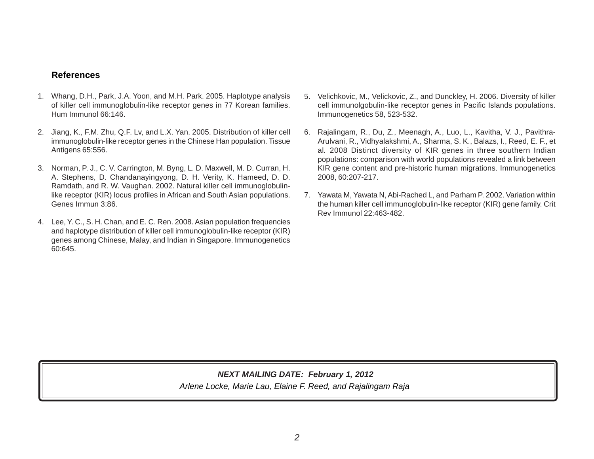# **References**

- 1. Whang, D.H., Park, J.A. Yoon, and M.H. Park. 2005. Haplotype analysis of killer cell immunoglobulin-like receptor genes in 77 Korean families. Hum Immunol 66:146.
- 2. Jiang, K., F.M. Zhu, Q.F. Lv, and L.X. Yan. 2005. Distribution of killer cell immunoglobulin-like receptor genes in the Chinese Han population. Tissue Antigens 65:556.
- 3. Norman, P. J., C. V. Carrington, M. Byng, L. D. Maxwell, M. D. Curran, H. A. Stephens, D. Chandanayingyong, D. H. Verity, K. Hameed, D. D. Ramdath, and R. W. Vaughan. 2002. Natural killer cell immunoglobulinlike receptor (KIR) locus profiles in African and South Asian populations. Genes Immun 3:86.
- 4. Lee, Y. C., S. H. Chan, and E. C. Ren. 2008. Asian population frequencies and haplotype distribution of killer cell immunoglobulin-like receptor (KIR) genes among Chinese, Malay, and Indian in Singapore. Immunogenetics 60:645.
- 5. Velichkovic, M., Velickovic, Z., and Dunckley, H. 2006. Diversity of killer cell immunolgobulin-like receptor genes in Pacific Islands populations. Immunogenetics 58, 523-532.
- 6. Rajalingam, R., Du, Z., Meenagh, A., Luo, L., Kavitha, V. J., Pavithra-Arulvani, R., Vidhyalakshmi, A., Sharma, S. K., Balazs, I., Reed, E. F., et al*.* 2008 Distinct diversity of KIR genes in three southern Indian populations: comparison with world populations revealed a link between KIR gene content and pre-historic human migrations. Immunogenetics 2008, 60:207-217.
- 7. Yawata M, Yawata N, Abi-Rached L, and Parham P. 2002. Variation within the human killer cell immunoglobulin-like receptor (KIR) gene family. Crit Rev Immunol 22:463-482.

# *Arlene Locke, Marie Lau, Elaine F. Reed, and Rajalingam Raja NEXT MAILING DATE: February 1, 2012*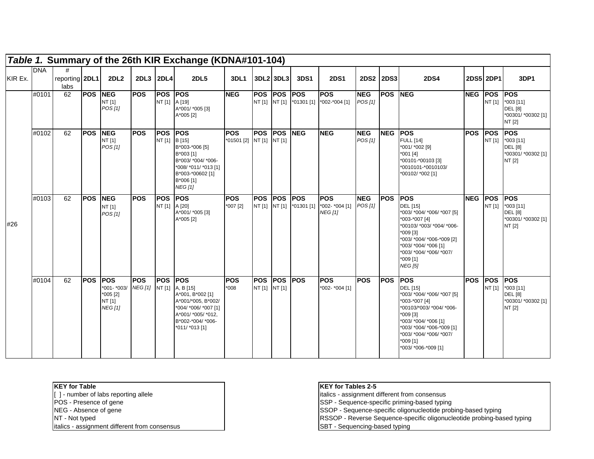|         |            |                             |                |                                                                     |                                        |                                 | Table 1. Summary of the 26th KIR Exchange (KDNA#101-104)                                                                     |                                        |                             |                    |                          |                                                          |                       |             |                                                                                                                                                                                                                                  |           |        |                                                                             |
|---------|------------|-----------------------------|----------------|---------------------------------------------------------------------|----------------------------------------|---------------------------------|------------------------------------------------------------------------------------------------------------------------------|----------------------------------------|-----------------------------|--------------------|--------------------------|----------------------------------------------------------|-----------------------|-------------|----------------------------------------------------------------------------------------------------------------------------------------------------------------------------------------------------------------------------------|-----------|--------|-----------------------------------------------------------------------------|
| KIR Ex. | <b>DNA</b> | #<br>reporting 2DL1<br>labs |                | 2DL2                                                                | 2DL3 2DL4                              |                                 | <b>2DL5</b>                                                                                                                  | 3DL1                                   | 3DL2 3DL3                   |                    | 3DS1                     | <b>2DS1</b>                                              | 2DS2 2DS3             |             | <b>2DS4</b>                                                                                                                                                                                                                      | 2DS5 2DP1 |        | 3DP1                                                                        |
|         | #0101      | 62                          | <b>POS NEG</b> | NT [1]<br>POS [1]                                                   | <b>POS</b>                             | <b>POS POS</b><br>NT [1] A [19] | A*001/ *005 [3]<br>A*005 [2]                                                                                                 | <b>NEG</b>                             |                             | POS POS POS        |                          | <b>POS</b><br>NT [1] NT [1] *01301 [1] *002-*004 [1]     | <b>NEG</b><br>POS [1] | <b>POS</b>  | <b>NEG</b>                                                                                                                                                                                                                       | NEG POS   | NT [1] | <b>POS</b><br>$*003$ [11]<br><b>DEL</b> [8]<br>*00301/ *00302 [1]<br>NT [2] |
|         | #0102      | 62                          | <b>POS</b>     | <b>NEG</b><br>NT [1]<br>POS [1]                                     | <b>POS</b>                             | <b>POS POS</b><br>NT [1] B [15] | B*003-*006 [5]<br>B*003 [1]<br>B*003/ *004/ *006-<br>*008/ *011/ *013 [1]<br>B*003-*00602 [1]<br>B*006 [1]<br><b>NEG [1]</b> | <b>POS</b><br>*01501 [2] NT [1] NT [1] |                             | <b>POS POS NEG</b> |                          | <b>NEG</b>                                               | <b>NEG</b><br>POS[1]  | NEG POS     | <b>FULL [14]</b><br>*001/ *002 [9]<br>*001 [4]<br>*00101-*00103 [3]<br>*0010101-*0010103/<br>*00102/ *002 [1]                                                                                                                    | POS POS   | NT [1] | <b>POS</b><br>$*003$ [11]<br><b>DEL</b> [8]<br>*00301/ *00302 [1]<br>NT [2] |
| #26     | #0103      | 62                          | <b>POS</b>     | <b>NEG</b><br>NT [1]<br>POS[1]                                      | <b>POS</b>                             | <b>POS POS</b><br>NT [1] A [20] | A*001/ *005 [3]<br>A*005 [2]                                                                                                 | <b>POS</b><br>$*007$ [2]               | <b>POS</b>                  | <b>POS POS</b>     | NT [1] NT [1] *01301 [1] | <b>POS</b><br>*002- *004 [1] $POS$ [1]<br><b>NEG [1]</b> | <b>NEG</b>            | <b>IPOS</b> | <b>POS</b><br>DEL [15]<br>*003/ *004/ *006/ *007 [5]<br>*003-*007 [4]<br>*00103/ *003/ *004/ *006-<br>*009 [3]<br>*003/ *004/ *006-*009 [2]<br>*003/ *004/ *006 [1]<br>*003/ *004/ *006/ *007/<br>*009 [1]<br><b>NEG [5]</b>     | NEG POS   | NT [1] | <b>POS</b><br>$*003$ [11]<br><b>DEL</b> [8]<br>*00301/*00302 [1]<br>NT [2]  |
|         | #0104      | 62                          | <b>POS</b>     | <b>POS</b><br>*001- *003/<br>$*005 [2]$<br>NT [1]<br><b>NEG [1]</b> | <b>POS</b><br>NEG [1] NT [1] A, B [15] | <b>POS POS</b>                  | A*001, B*002 [1]<br>A*001/*005, B*002/<br>*004/ *006/ *007 [1]<br>A*001/ *005/ *012,<br>B*002-*004/ *006-<br>*011/ *013 [1]  | <b>POS</b><br>$*008$                   | <b>POS</b><br>NT [1] NT [1] | <b>POS POS</b>     |                          | <b>POS</b><br>*002- *004 [1]                             | <b>POS</b>            | <b>IPOS</b> | POS<br><b>DEL</b> [15]<br>*003/ *004/ *006/ *007 [5]<br>*003-*007 [4]<br>*00103/*003/ *004/ *006-<br>*009 [3]<br>*003/ *004/ *006 [1]<br>*003/ *004/ *006-*009 [1]<br>*003/ *004/ *006/ *007/<br>*009 [1]<br>*003/ *006-*009 [1] | POS POS   | NT [1] | <b>POS</b><br>$*003$ [11]<br><b>DEL</b> [8]<br>*00301/ *00302 [1]<br>NT [2] |

- 
- 
- 

italics - assignment different from consensus SBT - Sequencing-based typing

## **KEY for Table KEY for Tables 2-5**

[ ] - number of labs reporting allele italics - assignment different from consensus<br>POS - Presence of gene<br>NEG - Absence of gene<br>POS - Sequence-specific priming-based typin<br>SSOP - Sequence-specific oligonucleotide pro POS - Presence of gene SSP - Sequence-specific priming-based typing

NEG - Absence of gene SSOP - Sequence-specific oligonucleotide probing-based typing

NT - Not typed RSSOP - Reverse Sequence-specific oligonucleotide probing-based typing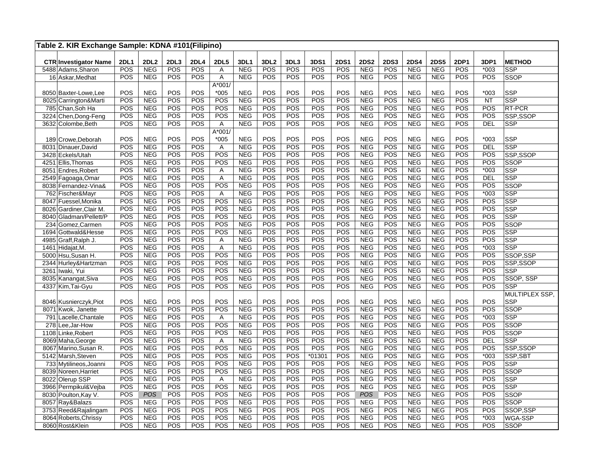|      | Table 2. KIR Exchange Sample: KDNA #101(Filipino)  |                           |                           |             |                    |                  |                    |                         |             |                    |             |             |                    |                           |                           |                  |            |                             |
|------|----------------------------------------------------|---------------------------|---------------------------|-------------|--------------------|------------------|--------------------|-------------------------|-------------|--------------------|-------------|-------------|--------------------|---------------------------|---------------------------|------------------|------------|-----------------------------|
|      |                                                    |                           |                           |             |                    |                  |                    |                         |             |                    | <b>2DS1</b> | <b>2DS2</b> |                    |                           |                           | 2DP1             | 3DP1       |                             |
|      | <b>CTR Investigator Name</b><br>5488 Adams, Sharon | <b>2DL1</b><br><b>POS</b> | <b>2DL2</b><br><b>NEG</b> | 2DL3<br>POS | <b>2DL4</b><br>POS | <b>2DL5</b><br>Α | 3DL1<br><b>NEG</b> | 3DL <sub>2</sub><br>POS | 3DL3<br>POS | 3DS1<br><b>POS</b> | POS         | <b>NEG</b>  | <b>2DS3</b><br>POS | <b>2DS4</b><br><b>NEG</b> | <b>2DS5</b><br><b>NEG</b> | $\overline{POS}$ | $*003$     | <b>METHOD</b><br><b>SSP</b> |
|      | 16 Askar, Medhat                                   | POS                       | <b>NEG</b>                | POS         | POS                | Α                | <b>NEG</b>         | <b>POS</b>              | POS         | POS                | POS         | <b>NEG</b>  | POS                | <b>NEG</b>                | <b>NEG</b>                | POS              | POS        | <b>SSOP</b>                 |
|      |                                                    |                           |                           |             |                    | $A*001/$         |                    |                         |             |                    |             |             |                    |                           |                           |                  |            |                             |
|      | 8050 Baxter-Lowe, Lee                              | POS                       | <b>NEG</b>                | POS         | POS                | $*005$           | <b>NEG</b>         | POS                     | POS         | POS                | POS         | <b>NEG</b>  | POS                | <b>NEG</b>                | <b>NEG</b>                | POS              | $*003$     | <b>SSP</b>                  |
|      | 8025 Carrington&Marti                              | POS                       | <b>NEG</b>                | POS         | POS                | POS              | <b>NEG</b>         | POS                     | POS         | POS                | POS         | <b>NEG</b>  | POS                | <b>NEG</b>                | <b>NEG</b>                | $\overline{POS}$ | <b>NT</b>  | <b>SSP</b>                  |
|      | 785 Chan, Soh Ha                                   | POS                       | <b>NEG</b>                | POS         | POS                | POS              | <b>NEG</b>         | POS                     | POS         | POS                | POS         | <b>NEG</b>  | POS                | <b>NEG</b>                | <b>NEG</b>                | POS              | POS        | RT-PCR                      |
|      | 3224 Chen, Dong-Feng                               | POS                       | <b>NEG</b>                | POS         | POS                | POS              | <b>NEG</b>         | POS                     | POS         | POS                | POS         | <b>NEG</b>  | POS                | <b>NEG</b>                | <b>NEG</b>                | POS              | POS        | SSP,SSOP                    |
|      | 3632 Colombe, Beth                                 | POS                       | <b>NEG</b>                | POS         | POS                | Α                | <b>NEG</b>         | POS                     | POS         | POS                | POS         | <b>NEG</b>  | POS                | <b>NEG</b>                | <b>NEG</b>                | POS              | <b>DEL</b> | <b>SSP</b>                  |
|      |                                                    |                           |                           |             |                    | $A*001/$         |                    |                         |             |                    |             |             |                    |                           |                           |                  |            |                             |
|      | 189 Crowe, Deborah                                 | POS                       | <b>NEG</b>                | POS         | POS                | $*005$           | <b>NEG</b>         | POS                     | POS         | POS                | POS         | <b>NEG</b>  | POS                | <b>NEG</b>                | <b>NEG</b>                | POS              | $*003$     | <b>SSP</b>                  |
|      | 8031 Dinauer, David                                | POS                       | <b>NEG</b>                | POS         | POS                | Α                | <b>NEG</b>         | POS                     | POS         | POS                | POS         | <b>NEG</b>  | POS                | <b>NEG</b>                | <b>NEG</b>                | POS              | <b>DEL</b> | <b>SSP</b>                  |
|      | 3428 Eckels/Utah                                   | POS                       | <b>NEG</b>                | POS         | POS                | POS              | <b>NEG</b>         | POS                     | POS         | POS                | POS         | <b>NEG</b>  | POS                | <b>NEG</b>                | <b>NEG</b>                | POS              | POS        | SSP,SSOP                    |
| 4251 | Ellis, Thomas                                      | POS                       | <b>NEG</b>                | POS         | POS                | POS              | <b>NEG</b>         | POS                     | POS         | POS                | POS         | <b>NEG</b>  | POS                | <b>NEG</b>                | <b>NEG</b>                | POS              | POS        | <b>SSOP</b>                 |
|      | 8051 Endres, Robert                                | POS                       | <b>NEG</b>                | POS         | POS                | Α                | <b>NEG</b>         | POS                     | POS         | POS                | POS         | <b>NEG</b>  | POS                | <b>NEG</b>                | <b>NEG</b>                | POS              | $*003$     | <b>SSP</b>                  |
|      | 2549 Fagoaga, Omar                                 | POS                       | <b>NEG</b>                | POS         | POS                | $\mathsf{A}$     | <b>NEG</b>         | POS                     | POS         | POS                | POS         | <b>NEG</b>  | POS                | <b>NEG</b>                | <b>NEG</b>                | POS              | <b>DEL</b> | SSP                         |
|      | 8038 Fernandez-Vina&                               | POS                       | <b>NEG</b>                | POS         | POS                | POS              | <b>NEG</b>         | POS                     | POS         | POS                | POS         | <b>NEG</b>  | POS                | <b>NEG</b>                | <b>NEG</b>                | POS              | POS        | SSOP                        |
|      | 762 Fischer&Mayr                                   | POS                       | <b>NEG</b>                | POS         | POS                | A                | <b>NEG</b>         | POS                     | POS         | POS                | POS         | <b>NEG</b>  | POS                | <b>NEG</b>                | <b>NEG</b>                | POS              | $*003$     | SSP                         |
|      | 8047 Fuessel, Monika                               | <b>POS</b>                | <b>NEG</b>                | POS         | POS                | POS              | <b>NEG</b>         | POS                     | POS         | POS                | POS         | <b>NEG</b>  | POS                | <b>NEG</b>                | <b>NEG</b>                | POS              | POS        | <b>SSP</b>                  |
|      | 8026 Gardiner, Clair M.                            | POS                       | <b>NEG</b>                | POS         | POS                | POS              | <b>NEG</b>         | POS                     | POS         | POS                | POS         | <b>NEG</b>  | POS                | <b>NEG</b>                | <b>NEG</b>                | POS              | POS        | SSP                         |
|      | 8040 Gladman/Pellett/P                             | POS                       | <b>NEG</b>                | POS         | POS                | POS              | <b>NEG</b>         | POS                     | POS         | POS                | POS         | <b>NEG</b>  | POS                | <b>NEG</b>                | <b>NEG</b>                | POS              | POS        | <b>SSP</b>                  |
|      | 234 Gomez, Carmen                                  | POS                       | <b>NEG</b>                | POS         | POS                | POS              | <b>NEG</b>         | POS                     | POS         | POS                | POS         | <b>NEG</b>  | POS                | <b>NEG</b>                | <b>NEG</b>                | POS              | POS        | <b>SSOP</b>                 |
|      | 1694 Gottwald&Hesse                                | POS                       | <b>NEG</b>                | POS         | POS                | POS              | <b>NEG</b>         | POS                     | POS         | POS                | POS         | <b>NEG</b>  | POS                | <b>NEG</b>                | <b>NEG</b>                | POS              | POS        | <b>SSP</b>                  |
|      | 4985 Graff, Ralph J.                               | POS                       | <b>NEG</b>                | POS         | POS                | Α                | <b>NEG</b>         | POS                     | POS         | POS                | POS         | <b>NEG</b>  | POS                | <b>NEG</b>                | <b>NEG</b>                | POS              | POS        | <b>SSP</b>                  |
|      | 1461 Hidajat, M.                                   | POS                       | <b>NEG</b>                | POS         | POS                | A                | <b>NEG</b>         | POS                     | POS         | POS                | POS         | <b>NEG</b>  | POS                | <b>NEG</b>                | <b>NEG</b>                | POS              | $*003$     | <b>SSP</b>                  |
|      | 5000 Hsu, Susan H.                                 | POS                       | <b>NEG</b>                | POS         | POS                | POS              | <b>NEG</b>         | POS                     | POS         | POS                | POS         | <b>NEG</b>  | POS                | <b>NEG</b>                | <b>NEG</b>                | POS              | POS        | SSOP,SSP                    |
|      | 2344 Hurley& Hartzman                              | POS                       | <b>NEG</b>                | POS         | POS                | POS              | <b>NEG</b>         | POS                     | POS         | POS                | POS         | <b>NEG</b>  | POS                | <b>NEG</b>                | <b>NEG</b>                | $\overline{POS}$ | POS        | SSP,SSOP                    |
|      | 3261 Iwaki, Yui                                    | POS                       | <b>NEG</b>                | POS         | POS                | POS              | <b>NEG</b>         | POS                     | POS         | POS                | POS         | <b>NEG</b>  | POS                | <b>NEG</b>                | <b>NEG</b>                | POS              | POS        | <b>SSP</b>                  |
|      | 8035 Kanangat, Siva                                | POS                       | <b>NEG</b>                | POS         | POS                | POS              | <b>NEG</b>         | POS                     | POS         | POS                | POS         | <b>NEG</b>  | POS                | <b>NEG</b>                | <b>NEG</b>                | POS              | POS        | SSOP, SSP                   |
|      | 4337 Kim, Tai-Gyu                                  | POS                       | <b>NEG</b>                | POS         | POS                | POS              | <b>NEG</b>         | POS                     | POS         | POS                | POS         | <b>NEG</b>  | POS                | <b>NEG</b>                | <b>NEG</b>                | POS              | POS        | <b>SSP</b>                  |
|      |                                                    |                           |                           |             |                    |                  |                    |                         |             |                    |             |             |                    |                           |                           |                  |            | MULTIPLEX SSP,              |
|      | 8046 Kusnierczyk, Piot                             | POS                       | <b>NEG</b>                | POS         | POS                | POS              | <b>NEG</b>         | POS                     | POS         | POS                | POS         | <b>NEG</b>  | POS                | <b>NEG</b>                | <b>NEG</b>                | POS              | POS        | <b>SSP</b>                  |
|      | 8071 Kwok, Janette                                 | POS                       | <b>NEG</b>                | POS         | POS                | POS              | <b>NEG</b>         | POS                     | POS         | POS                | POS         | <b>NEG</b>  | POS                | <b>NEG</b>                | <b>NEG</b>                | POS              | POS        | <b>SSOP</b>                 |
|      | 791 Lacelle, Chantale                              | POS                       | <b>NEG</b>                | POS         | POS                | A                | <b>NEG</b>         | POS                     | POS         | POS                | POS         | <b>NEG</b>  | POS                | <b>NEG</b>                | <b>NEG</b>                | POS              | $*003$     | <b>SSP</b>                  |
|      | 278 Lee, Jar-How                                   | POS                       | <b>NEG</b>                | POS         | POS                | POS              | <b>NEG</b>         | POS                     | POS         | POS                | POS         | <b>NEG</b>  | POS                | <b>NEG</b>                | <b>NEG</b>                | POS              | <b>POS</b> | <b>SSOP</b>                 |
|      | 1108 Linke, Robert                                 | POS                       | <b>NEG</b>                | POS         | POS                | POS              | <b>NEG</b>         | POS                     | POS         | POS                | POS         | <b>NEG</b>  | POS                | <b>NEG</b>                | <b>NEG</b>                | POS              | POS        | <b>SSOP</b>                 |
|      | 8069 Maha, George                                  | POS                       | <b>NEG</b>                | POS         | POS                | A                | <b>NEG</b>         | POS                     | POS         | POS                | POS         | <b>NEG</b>  | POS                | <b>NEG</b>                | <b>NEG</b>                | POS              | <b>DEL</b> | <b>SSP</b>                  |
|      | 8067 Marino, Susan R.                              | POS                       | <b>NEG</b>                | POS         | POS                | POS              | <b>NEG</b>         | POS                     | POS         | POS                | POS         | <b>NEG</b>  | POS                | <b>NEG</b>                | <b>NEG</b>                | POS              | POS        | SSP,SSOP                    |
|      | 5142 Marsh, Steven                                 | POS                       | <b>NEG</b>                | POS         | POS                | POS              | <b>NEG</b>         | POS                     | POS         | 01301              | POS         | <b>NEG</b>  | POS                | <b>NEG</b>                | <b>NEG</b>                | $\overline{POS}$ | $*003$     | SSP,SBT                     |
|      | 733 Mytilineos, Joanni                             | POS                       | <b>NEG</b>                | POS         | POS                | POS              | <b>NEG</b>         | POS                     | POS         | POS                | POS         | <b>NEG</b>  | POS                | <b>NEG</b>                | <b>NEG</b>                | POS              | POS        | <b>SSP</b>                  |
|      | 8039 Noreen, Harriet                               | POS                       | <b>NEG</b>                | POS         | POS                | POS              | <b>NEG</b>         | POS                     | POS         | POS                | POS         | <b>NEG</b>  | POS                | <b>NEG</b>                | <b>NEG</b>                | POS              | POS        | <b>SSOP</b>                 |
|      | 8022 Olerup SSP                                    | POS                       | <b>NEG</b>                | POS         | POS                | A                | <b>NEG</b>         | POS                     | POS         | POS                | POS         | <b>NEG</b>  | POS                | <b>NEG</b>                | <b>NEG</b>                | POS              | POS        | <b>SSP</b>                  |
|      | 3966 Permpikul&Vejba                               | POS                       | <b>NEG</b>                | POS         | POS                | POS              | <b>NEG</b>         | POS                     | POS         | POS                | POS         | <b>NEG</b>  | POS                | <b>NEG</b>                | <b>NEG</b>                | $\overline{POS}$ | POS        | <b>SSP</b>                  |
|      | 8030 Poulton, Kay V.                               | POS                       | POS                       | POS         | POS                | POS              | <b>NEG</b>         | POS                     | POS         | POS                | POS         | POS         | POS                | <b>NEG</b>                | <b>NEG</b>                | <b>POS</b>       | POS        | SSOP                        |
|      | 8057 Ray&Balazs                                    | POS                       | <b>NEG</b>                | POS         | POS                | POS              | <b>NEG</b>         | POS                     | POS         | POS                | POS         | <b>NEG</b>  | POS                | <b>NEG</b>                | <b>NEG</b>                | <b>POS</b>       | POS        | <b>SSOP</b>                 |
|      | 3753 Reed&Rajalingam                               | POS                       | <b>NEG</b>                | POS         | POS                | POS              | <b>NEG</b>         | POS                     | POS         | POS                | POS         | <b>NEG</b>  | POS                | <b>NEG</b>                | <b>NEG</b>                | POS              | POS        | SSOP,SSP                    |
|      | 8064 Roberts, Chrissy                              | POS                       | <b>NEG</b>                | POS         | POS                | POS              | <b>NEG</b>         | POS                     | POS         | POS                | POS         | <b>NEG</b>  | POS                | <b>NEG</b>                | <b>NEG</b>                | POS              | $*003$     | WGA-SSP                     |
|      | 8060 Rost&Klein                                    | POS                       | <b>NEG</b>                | POS         | POS                | POS              | <b>NEG</b>         | POS                     | POS         | POS                | POS         | <b>NEG</b>  | POS                | <b>NEG</b>                | <b>NEG</b>                | <b>POS</b>       | POS        | SSOP                        |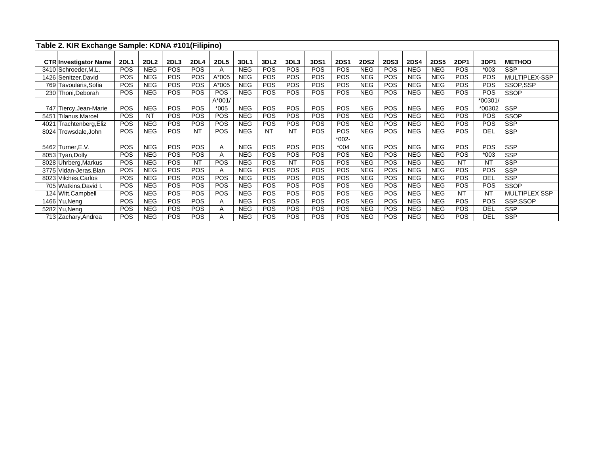|      | Table 2. KIR Exchange Sample: KDNA #101(Filipino)    |             |             |            |             |             |            |                  |            |            |             |             |             |             |             |             |            |                      |
|------|------------------------------------------------------|-------------|-------------|------------|-------------|-------------|------------|------------------|------------|------------|-------------|-------------|-------------|-------------|-------------|-------------|------------|----------------------|
|      |                                                      | <b>2DL1</b> | <b>2DL2</b> | 2DL3       | <b>2DL4</b> | <b>2DL5</b> | 3DL1       | 3DL <sub>2</sub> | 3DL3       | 3DS1       | <b>2DS1</b> | <b>2DS2</b> | <b>2DS3</b> | <b>2DS4</b> | <b>2DS5</b> | <b>2DP1</b> | 3DP1       | <b>METHOD</b>        |
|      | <b>CTR Investigator Name</b><br>3410 Schroeder, M.L. | <b>POS</b>  | <b>NEG</b>  | POS        | <b>POS</b>  | A           | <b>NEG</b> | <b>POS</b>       | <b>POS</b> | POS        | POS         | <b>NEG</b>  | <b>POS</b>  | <b>NEG</b>  | <b>NEG</b>  | <b>POS</b>  | $*003$     | <b>SSP</b>           |
|      | 1426 Senitzer David                                  | POS         | <b>NEG</b>  | <b>POS</b> | <b>POS</b>  | A*005       | <b>NEG</b> | <b>POS</b>       | <b>POS</b> | POS        | POS         | <b>NEG</b>  | <b>POS</b>  | <b>NEG</b>  | <b>NEG</b>  | <b>POS</b>  | POS        | MULTIPLEX-SSP        |
|      | 769 Tavoularis, Sofia                                | <b>POS</b>  | <b>NEG</b>  | <b>POS</b> | <b>POS</b>  | A*005       | <b>NEG</b> | <b>POS</b>       | <b>POS</b> | <b>POS</b> | <b>POS</b>  | <b>NEG</b>  | <b>POS</b>  | <b>NEG</b>  | <b>NEG</b>  | <b>POS</b>  | <b>POS</b> | SSOP.SSP             |
|      | 230 Thoni, Deborah                                   | POS         | <b>NEG</b>  | POS        | <b>POS</b>  | <b>POS</b>  | <b>NEG</b> | <b>POS</b>       | <b>POS</b> | POS        | <b>POS</b>  | <b>NEG</b>  | <b>POS</b>  | <b>NEG</b>  | <b>NEG</b>  | <b>POS</b>  | <b>POS</b> | <b>SSOP</b>          |
|      |                                                      |             |             |            |             | A*001/      |            |                  |            |            |             |             |             |             |             |             | $*00301/$  |                      |
|      | 747 Tiercy, Jean-Marie                               | <b>POS</b>  | <b>NEG</b>  | <b>POS</b> | <b>POS</b>  | $*005$      | <b>NEG</b> | <b>POS</b>       | <b>POS</b> | POS        | POS         | <b>NEG</b>  | <b>POS</b>  | <b>NEG</b>  | <b>NEG</b>  | <b>POS</b>  | *00302     | <b>SSP</b>           |
| 5451 | Tilanus, Marcel                                      | POS         | <b>NT</b>   | <b>POS</b> | <b>POS</b>  | <b>POS</b>  | <b>NEG</b> | <b>POS</b>       | <b>POS</b> | POS        | POS         | <b>NEG</b>  | <b>POS</b>  | <b>NEG</b>  | <b>NEG</b>  | <b>POS</b>  | <b>POS</b> | <b>SSOP</b>          |
| 4021 | Trachtenberg, Eliz                                   | POS         | <b>NEG</b>  | POS        | <b>POS</b>  | <b>POS</b>  | <b>NEG</b> | <b>POS</b>       | <b>POS</b> | <b>POS</b> | POS         | <b>NEG</b>  | <b>POS</b>  | <b>NEG</b>  | <b>NEG</b>  | <b>POS</b>  | <b>POS</b> | <b>SSP</b>           |
|      | 8024 Trowsdale, John                                 | <b>POS</b>  | <b>NEG</b>  | <b>POS</b> | <b>NT</b>   | <b>POS</b>  | <b>NEG</b> | <b>NT</b>        | <b>NT</b>  | POS        | <b>POS</b>  | <b>NEG</b>  | <b>POS</b>  | <b>NEG</b>  | <b>NEG</b>  | <b>POS</b>  | <b>DEL</b> | <b>SSP</b>           |
|      |                                                      |             |             |            |             |             |            |                  |            |            | $*002-$     |             |             |             |             |             |            |                      |
|      | 5462 Turner, E.V.                                    | POS         | <b>NEG</b>  | <b>POS</b> | <b>POS</b>  | A           | <b>NEG</b> | <b>POS</b>       | <b>POS</b> | POS        | $*004$      | <b>NEG</b>  | <b>POS</b>  | <b>NEG</b>  | <b>NEG</b>  | <b>POS</b>  | <b>POS</b> | <b>SSP</b>           |
|      | 8053 Tyan, Dolly                                     | POS         | <b>NEG</b>  | <b>POS</b> | <b>POS</b>  | A           | <b>NEG</b> | <b>POS</b>       | <b>POS</b> | POS        | <b>POS</b>  | <b>NEG</b>  | <b>POS</b>  | <b>NEG</b>  | <b>NEG</b>  | <b>POS</b>  | $*003$     | <b>SSP</b>           |
|      | 8028 Uhrberg, Markus                                 | POS         | <b>NEG</b>  | POS        | <b>NT</b>   | <b>POS</b>  | <b>NEG</b> | <b>POS</b>       | <b>NT</b>  | POS        | POS         | <b>NEG</b>  | <b>POS</b>  | <b>NEG</b>  | <b>NEG</b>  | <b>NT</b>   | <b>NT</b>  | <b>SSP</b>           |
|      | 3775 Vidan-Jeras, Blan                               | POS         | <b>NEG</b>  | <b>POS</b> | <b>POS</b>  | A           | <b>NEG</b> | <b>POS</b>       | <b>POS</b> | POS        | POS         | <b>NEG</b>  | <b>POS</b>  | <b>NEG</b>  | <b>NEG</b>  | <b>POS</b>  | POS        | <b>SSP</b>           |
|      | 8023 Vilches, Carlos                                 | <b>POS</b>  | <b>NEG</b>  | POS        | <b>POS</b>  | <b>POS</b>  | <b>NEG</b> | <b>POS</b>       | <b>POS</b> | <b>POS</b> | <b>POS</b>  | <b>NEG</b>  | <b>POS</b>  | <b>NEG</b>  | <b>NEG</b>  | <b>POS</b>  | <b>DEL</b> | <b>SSP</b>           |
|      | 705 Watkins, David I.                                | <b>POS</b>  | <b>NEG</b>  | POS        | <b>POS</b>  | <b>POS</b>  | <b>NEG</b> | <b>POS</b>       | <b>POS</b> | POS        | POS         | <b>NEG</b>  | <b>POS</b>  | <b>NEG</b>  | <b>NEG</b>  | <b>POS</b>  | POS        | <b>SSOP</b>          |
|      | 124 Witt, Campbell                                   | POS         | <b>NEG</b>  | POS        | <b>POS</b>  | <b>POS</b>  | <b>NEG</b> | <b>POS</b>       | <b>POS</b> | POS        | POS         | <b>NEG</b>  | <b>POS</b>  | <b>NEG</b>  | <b>NEG</b>  | NT          | <b>NT</b>  | <b>MULTIPLEX SSP</b> |
|      | 1466 Yu, Neng                                        | POS         | <b>NEG</b>  | POS        | <b>POS</b>  | A           | <b>NEG</b> | <b>POS</b>       | <b>POS</b> | POS        | <b>POS</b>  | <b>NEG</b>  | <b>POS</b>  | <b>NEG</b>  | <b>NEG</b>  | <b>POS</b>  | <b>POS</b> | SSP,SSOP             |
|      | 5282 Yu, Neng                                        | <b>POS</b>  | <b>NEG</b>  | <b>POS</b> | <b>POS</b>  | A           | <b>NEG</b> | <b>POS</b>       | <b>POS</b> | <b>POS</b> | <b>POS</b>  | <b>NEG</b>  | <b>POS</b>  | <b>NEG</b>  | <b>NEG</b>  | <b>POS</b>  | <b>DEL</b> | <b>SSP</b>           |
|      | 713 Zachary, Andrea                                  | <b>POS</b>  | <b>NEG</b>  | <b>POS</b> | <b>POS</b>  | A           | <b>NEG</b> | <b>POS</b>       | <b>POS</b> | <b>POS</b> | <b>POS</b>  | <b>NEG</b>  | <b>POS</b>  | <b>NEG</b>  | <b>NEG</b>  | <b>POS</b>  | <b>DEL</b> | <b>SSP</b>           |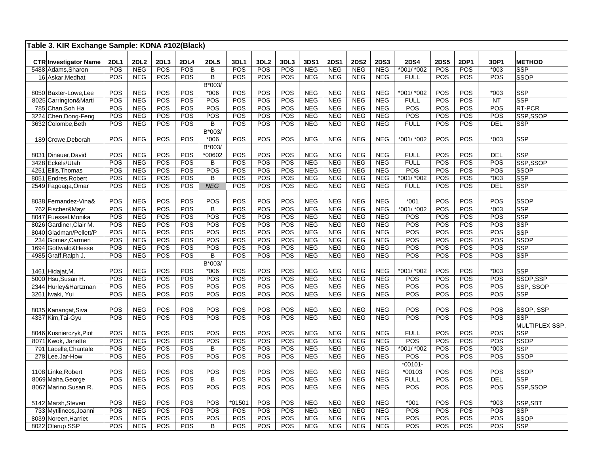| Table 3. KIR Exchange Sample: KDNA #102(Black) |             |             |            |             |                |            |                  |      |            |             |             |             |             |             |             |            |                |
|------------------------------------------------|-------------|-------------|------------|-------------|----------------|------------|------------------|------|------------|-------------|-------------|-------------|-------------|-------------|-------------|------------|----------------|
| <b>CTR Investigator Name</b>                   | <b>2DL1</b> | <b>2DL2</b> | 2DL3       | <b>2DL4</b> | <b>2DL5</b>    | 3DL1       | 3DL <sub>2</sub> | 3DL3 | 3DS1       | <b>2DS1</b> | <b>2DS2</b> | <b>2DS3</b> | <b>2DS4</b> | <b>2DS5</b> | <b>2DP1</b> | 3DP1       | <b>METHOD</b>  |
| 5488 Adams, Sharon                             | POS         | <b>NEG</b>  | POS        | POS         | B              | POS        | POS              | POS  | <b>NEG</b> | <b>NEG</b>  | <b>NEG</b>  | <b>NEG</b>  | *001/ *002  | POS         | POS         | $*003$     | <b>SSP</b>     |
| 16 Askar, Medhat                               | POS         | <b>NEG</b>  | POS        | <b>POS</b>  | B              | POS        | <b>POS</b>       | POS  | <b>NEG</b> | <b>NEG</b>  | <b>NEG</b>  | <b>NEG</b>  | <b>FULL</b> | POS         | POS         | POS        | <b>SSOP</b>    |
|                                                |             |             |            |             | B*003/         |            |                  |      |            |             |             |             |             |             |             |            |                |
| 8050 Baxter-Lowe.Lee                           | POS         | <b>NEG</b>  | POS        | POS         | $*006$         | POS        | <b>POS</b>       | POS  | <b>NEG</b> | <b>NEG</b>  | <b>NEG</b>  | <b>NEG</b>  | *001/ *002  | POS         | POS         | $*003$     | <b>SSP</b>     |
| 8025 Carrington&Marti                          | POS         | <b>NEG</b>  | POS        | POS         | POS            | POS        | POS              | POS  | <b>NEG</b> | <b>NEG</b>  | <b>NEG</b>  | <b>NEG</b>  | <b>FULL</b> | POS         | POS         | <b>NT</b>  | <b>SSP</b>     |
| 785 Chan, Soh Ha                               | POS         | <b>NEG</b>  | POS        | POS         | POS            | POS        | POS              | POS  | <b>NEG</b> | <b>NEG</b>  | <b>NEG</b>  | <b>NEG</b>  | POS         | POS         | POS         | POS        | RT-PCR         |
| 3224 Chen, Dong-Feng                           | POS         | <b>NEG</b>  | POS        | POS         | POS            | POS        | POS              | POS  | <b>NEG</b> | <b>NEG</b>  | <b>NEG</b>  | <b>NEG</b>  | POS         | POS         | POS         | POS        | SSP,SSOP       |
| 3632 Colombe, Beth                             | POS         | <b>NEG</b>  | POS        | <b>POS</b>  | B              | POS        | POS              | POS  | <b>NEG</b> | <b>NEG</b>  | <b>NEG</b>  | <b>NEG</b>  | <b>FULL</b> | POS         | POS         | <b>DEL</b> | <b>SSP</b>     |
|                                                |             |             |            |             | B*003/         |            |                  |      |            |             |             |             |             |             |             |            |                |
| 189 Crowe, Deborah                             | POS         | <b>NEG</b>  | POS        | POS         | $*006$         | POS        | <b>POS</b>       | POS  | <b>NEG</b> | <b>NEG</b>  | <b>NEG</b>  | <b>NEG</b>  | *001/ *002  | POS         | POS         | $*003$     | <b>SSP</b>     |
|                                                |             |             |            |             | B*003/         |            |                  |      |            |             |             |             |             |             |             |            |                |
| 8031 Dinauer, David                            | POS         | <b>NEG</b>  | POS        | POS         | *00602         | <b>POS</b> | <b>POS</b>       | POS  | <b>NEG</b> | <b>NEG</b>  | <b>NEG</b>  | <b>NEG</b>  | <b>FULL</b> | POS         | POS         | <b>DEL</b> | <b>SSP</b>     |
| 3428 Eckels/Utah                               | POS         | <b>NEG</b>  | POS        | POS         | B              | POS        | POS              | POS  | <b>NEG</b> | <b>NEG</b>  | <b>NEG</b>  | <b>NEG</b>  | <b>FULL</b> | POS         | POS         | POS        | SSP,SSOP       |
| 4251 Ellis, Thomas                             | POS         | <b>NEG</b>  | POS        | POS         | POS            | POS        | POS              | POS  | <b>NEG</b> | <b>NEG</b>  | <b>NEG</b>  | <b>NEG</b>  | POS         | POS         | POS         | POS        | SSOP           |
| 8051 Endres, Robert                            | POS         | <b>NEG</b>  | POS        | POS         | B              | POS        | POS              | POS  | <b>NEG</b> | <b>NEG</b>  | <b>NEG</b>  | <b>NEG</b>  | $*001/*002$ | POS         | POS         | $*003$     | <b>SSP</b>     |
| 2549 Fagoaga, Omar                             | POS         | <b>NEG</b>  | POS        | POS         | <b>NEG</b>     | POS        | POS              | POS  | <b>NEG</b> | <b>NEG</b>  | <b>NEG</b>  | <b>NEG</b>  | <b>FULL</b> | POS         | POS         | DEL        | <b>SSP</b>     |
|                                                |             |             |            |             |                |            |                  |      |            |             |             |             |             |             |             |            |                |
| 8038 Fernandez-Vina&                           | POS         | <b>NEG</b>  | POS        | POS         | POS            | POS        | POS              | POS  | <b>NEG</b> | <b>NEG</b>  | <b>NEG</b>  | <b>NEG</b>  | $*001$      | POS         | POS         | POS        | <b>SSOP</b>    |
| 762 Fischer&Mayr                               | POS         | <b>NEG</b>  | POS        | POS         | $\overline{B}$ | POS        | POS              | POS  | <b>NEG</b> | <b>NEG</b>  | <b>NEG</b>  | <b>NEG</b>  | $*001/*002$ | POS         | POS         | $*003$     | <b>SSP</b>     |
| 8047 Fuessel, Monika                           | POS         | <b>NEG</b>  | <b>POS</b> | POS         | POS            | POS        | POS              | POS  | <b>NEG</b> | <b>NEG</b>  | <b>NEG</b>  | <b>NEG</b>  | POS         | POS         | POS         | POS        | <b>SSP</b>     |
| 8026 Gardiner, Clair M.                        | POS         | <b>NEG</b>  | POS        | POS         | POS            | POS        | POS              | POS  | <b>NEG</b> | <b>NEG</b>  | <b>NEG</b>  | <b>NEG</b>  | POS         | POS         | POS         | POS        | <b>SSP</b>     |
| 8040 Gladman/Pellett/P                         | POS         | <b>NEG</b>  | POS        | POS         | POS            | POS        | POS              | POS  | <b>NEG</b> | <b>NEG</b>  | <b>NEG</b>  | <b>NEG</b>  | POS         | POS         | POS         | POS        | <b>SSP</b>     |
| 234 Gomez, Carmen                              | POS         | <b>NEG</b>  | POS        | POS         | POS            | POS        | POS              | POS  | <b>NEG</b> | <b>NEG</b>  | <b>NEG</b>  | <b>NEG</b>  | POS         | POS         | POS         | POS        | SSOP           |
| 1694 Gottwald&Hesse                            | POS         | <b>NEG</b>  | POS        | POS         | POS            | POS        | POS              | POS  | <b>NEG</b> | <b>NEG</b>  | <b>NEG</b>  | <b>NEG</b>  | POS         | POS         | POS         | POS        | <b>SSP</b>     |
| 4985 Graff, Ralph J.                           | POS         | <b>NEG</b>  | POS        | POS         | В              | POS        | POS              | POS  | <b>NEG</b> | <b>NEG</b>  | <b>NEG</b>  | <b>NEG</b>  | POS         | POS         | POS         | POS        | <b>SSP</b>     |
|                                                |             |             |            |             | B*003/         |            |                  |      |            |             |             |             |             |             |             |            |                |
| 1461 Hidajat, M.                               | POS         | <b>NEG</b>  | POS        | POS         | $*006$         | POS        | <b>POS</b>       | POS  | <b>NEG</b> | <b>NEG</b>  | <b>NEG</b>  | <b>NEG</b>  | *001/ *002  | POS         | POS         | $*003$     | SSP            |
| 5000 Hsu, Susan H.                             | POS         | NEG         | POS        | POS         | POS            | POS        | POS              | POS  | <b>NEG</b> | <b>NEG</b>  | <b>NEG</b>  | <b>NEG</b>  | POS         | POS         | POS         | POS        | SSOP,SSP       |
| 2344 Hurley&Hartzman                           | POS         | <b>NEG</b>  | POS        | POS         | <b>POS</b>     | POS        | POS              | POS  | <b>NEG</b> | <b>NEG</b>  | <b>NEG</b>  | <b>NEG</b>  | POS         | POS         | POS         | POS        | SSP, SSOP      |
| 3261 Iwaki, Yui                                | POS         | <b>NEG</b>  | POS        | POS         | POS            | POS        | <b>POS</b>       | POS  | <b>NEG</b> | <b>NEG</b>  | <b>NEG</b>  | <b>NEG</b>  | POS         | POS         | POS         | POS        | <b>SSP</b>     |
|                                                |             |             |            |             |                |            |                  |      |            |             |             |             |             |             |             |            |                |
| 8035 Kanangat, Siva                            | POS         | <b>NEG</b>  | POS        | POS         | POS            | POS        | POS              | POS  | <b>NEG</b> | <b>NEG</b>  | <b>NEG</b>  | <b>NEG</b>  | POS         | POS         | POS         | POS        | SSOP, SSP      |
| 4337 Kim, Tai-Gyu                              | POS         | <b>NEG</b>  | POS        | POS         | POS            | POS        | POS              | POS  | <b>NEG</b> | <b>NEG</b>  | <b>NEG</b>  | <b>NEG</b>  | POS         | POS         | POS         | POS        | <b>SSP</b>     |
|                                                |             |             |            |             |                |            |                  |      |            |             |             |             |             |             |             |            | MULTIPLEX SSP, |
| 8046 Kusnierczyk, Piot                         | POS         | <b>NEG</b>  | POS        | POS         | POS            | <b>POS</b> | POS              | POS  | <b>NEG</b> | <b>NEG</b>  | <b>NEG</b>  | <b>NEG</b>  | <b>FULL</b> | POS         | POS         | POS        | <b>SSP</b>     |
| 8071 Kwok, Janette                             | POS         | <b>NEG</b>  | POS        | POS         | POS            | POS        | POS              | POS  | <b>NEG</b> | <b>NEG</b>  | <b>NEG</b>  | <b>NEG</b>  | POS         | POS         | POS         | POS        | <b>SSOP</b>    |
| 791 Lacelle, Chantale                          | POS         | <b>NEG</b>  | POS        | <b>POS</b>  | $\overline{B}$ | <b>POS</b> | POS              | POS  | <b>NEG</b> | <b>NEG</b>  | <b>NEG</b>  | <b>NEG</b>  | *001/*002   | POS         | POS         | $*003$     | <b>SSP</b>     |
| 278 Lee, Jar-How                               | POS         | <b>NEG</b>  | POS        | POS         | POS            | <b>POS</b> | POS              | POS  | <b>NEG</b> | <b>NEG</b>  | <b>NEG</b>  | <b>NEG</b>  | POS         | POS         | POS         | POS        | <b>SSOP</b>    |
|                                                |             |             |            |             |                |            |                  |      |            |             |             |             | $*00101 -$  |             |             |            |                |
| 1108 Linke, Robert                             | POS         | <b>NEG</b>  | POS        | POS         | POS            | POS        | POS              | POS  | <b>NEG</b> | <b>NEG</b>  | <b>NEG</b>  | <b>NEG</b>  | *00103      | POS         | POS         | POS        | <b>SSOP</b>    |
| 8069 Maha, George                              | POS         | <b>NEG</b>  | POS        | POS         | $\overline{B}$ | POS        | POS              | POS  | <b>NEG</b> | <b>NEG</b>  | <b>NEG</b>  | <b>NEG</b>  | <b>FULL</b> | POS         | POS         | <b>DEL</b> | <b>SSP</b>     |
| 8067 Marino, Susan R.                          | POS         | <b>NEG</b>  | POS        | POS         | POS            | POS        | POS              | POS  | <b>NEG</b> | <b>NEG</b>  | <b>NEG</b>  | <b>NEG</b>  | <b>POS</b>  | POS         | POS         | POS        | SSP,SSOP       |
|                                                |             |             |            |             |                |            |                  |      |            |             |             |             |             |             |             |            |                |
| 5142 Marsh, Steven                             | POS         | <b>NEG</b>  | POS        | POS         | POS            | $*01501$   | <b>POS</b>       | POS  | <b>NEG</b> | <b>NEG</b>  | <b>NEG</b>  | <b>NEG</b>  | *001        | POS         | POS         | $*003$     | SSP,SBT        |
| 733 Mytilineos, Joanni                         | POS         | <b>NEG</b>  | POS        | POS         | POS            | <b>POS</b> | POS              | POS  | <b>NEG</b> | <b>NEG</b>  | <b>NEG</b>  | <b>NEG</b>  | POS         | POS         | POS         | POS        | <b>SSP</b>     |
| 8039 Noreen, Harriet                           | POS         | <b>NEG</b>  | POS        | POS         | POS            | <b>POS</b> | POS              | POS  | <b>NEG</b> | <b>NEG</b>  | <b>NEG</b>  | <b>NEG</b>  | POS         | POS         | POS         | POS        | <b>SSOP</b>    |
| 8022 Olerup SSP                                | <b>POS</b>  | <b>NEG</b>  | POS        | POS         | B              | <b>POS</b> | POS              | POS  | <b>NEG</b> | <b>NEG</b>  | <b>NEG</b>  | <b>NEG</b>  | POS         | POS         | POS         | POS        | <b>SSP</b>     |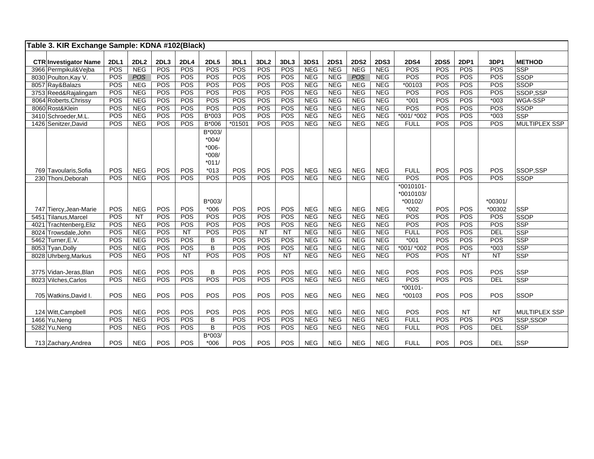| Table 3. KIR Exchange Sample: KDNA #102(Black) |             |            |            |            |             |          |                  |                 |             |             |             |             |              |             |            |                 |                      |
|------------------------------------------------|-------------|------------|------------|------------|-------------|----------|------------------|-----------------|-------------|-------------|-------------|-------------|--------------|-------------|------------|-----------------|----------------------|
| <b>CTR Investigator Name</b>                   | <b>2DL1</b> | 2DL2       | 2DL3       | 2DL4       | <b>2DL5</b> | 3DL1     | 3DL <sub>2</sub> | 3DL3            | <b>3DS1</b> | <b>2DS1</b> | <b>2DS2</b> | <b>2DS3</b> | <b>2DS4</b>  | <b>2DS5</b> | 2DP1       | 3DP1            | <b>METHOD</b>        |
| 3966 Permpikul&Vejba                           | POS         | <b>NEG</b> | POS        | POS        | POS         | POS      | <b>POS</b>       | POS             | <b>NEG</b>  | <b>NEG</b>  | <b>NEG</b>  | <b>NEG</b>  | POS          | POS         | <b>POS</b> | <b>POS</b>      | <b>SSP</b>           |
| 8030 Poulton, Kay V.                           | POS         | POS        | POS        | POS        | POS         | POS      | POS              | POS             | <b>NEG</b>  | <b>NEG</b>  | <b>POS</b>  | <b>NEG</b>  | POS          | POS         | POS        | POS             | <b>SSOP</b>          |
| 8057 Ray&Balazs                                | <b>POS</b>  | <b>NEG</b> | <b>POS</b> | POS        | POS         | POS      | POS              | POS             | <b>NEG</b>  | <b>NEG</b>  | <b>NEG</b>  | <b>NEG</b>  | $*00103$     | POS         | POS        | POS             | <b>SSOP</b>          |
| 3753 Reed&Rajalingam                           | POS         | <b>NEG</b> | POS        | POS        | POS         | POS      | POS              | POS             | <b>NEG</b>  | <b>NEG</b>  | <b>NEG</b>  | <b>NEG</b>  | POS          | POS         | POS        | POS             | SSOP,SSP             |
| 8064 Roberts, Chrissy                          | POS         | <b>NEG</b> | POS        | POS        | POS         | POS      | POS              | POS             | <b>NEG</b>  | <b>NEG</b>  | <b>NEG</b>  | <b>NEG</b>  | $*001$       | POS         | POS        | $*003$          | WGA-SSP              |
| 8060 Rost&Klein                                | POS         | <b>NEG</b> | POS        | POS        | POS         | POS      | POS              | POS             | <b>NEG</b>  | <b>NEG</b>  | <b>NEG</b>  | <b>NEG</b>  | POS          | POS         | POS        | POS             | <b>SSOP</b>          |
| 3410 Schroeder, M.L.                           | POS         | <b>NEG</b> | POS        | POS        | $B*003$     | POS      | <b>POS</b>       | POS             | <b>NEG</b>  | <b>NEG</b>  | <b>NEG</b>  | <b>NEG</b>  | *001/ *002   | POS         | POS        | $*003$          | <b>SSP</b>           |
| 1426 Senitzer, David                           | POS         | <b>NEG</b> | POS        | POS        | B*006       | $*01501$ | <b>POS</b>       | POS             | <b>NEG</b>  | <b>NEG</b>  | <b>NEG</b>  | <b>NEG</b>  | <b>FULL</b>  | POS         | POS        | POS             | <b>MULTIPLEX SSP</b> |
|                                                |             |            |            |            | B*003/      |          |                  |                 |             |             |             |             |              |             |            |                 |                      |
|                                                |             |            |            |            | $*004/$     |          |                  |                 |             |             |             |             |              |             |            |                 |                      |
|                                                |             |            |            |            | $*006-$     |          |                  |                 |             |             |             |             |              |             |            |                 |                      |
|                                                |             |            |            |            | $*008/$     |          |                  |                 |             |             |             |             |              |             |            |                 |                      |
|                                                |             |            |            |            | $*011/$     |          |                  |                 |             |             |             |             |              |             |            |                 |                      |
| 769 Tavoularis.Sofia                           | POS         | <b>NEG</b> | POS        | POS        | $*013$      | POS      | POS              | POS             | <b>NEG</b>  | <b>NEG</b>  | <b>NEG</b>  | <b>NEG</b>  | <b>FULL</b>  | POS         | POS        | POS             | SSOP.SSP             |
| 230 Thoni, Deborah                             | POS         | <b>NEG</b> | POS        | POS        | POS         | POS      | POS              | POS             | <b>NEG</b>  | <b>NEG</b>  | <b>NEG</b>  | <b>NEG</b>  | POS          | POS         | POS        | <b>POS</b>      | <b>SSOP</b>          |
|                                                |             |            |            |            |             |          |                  |                 |             |             |             |             | $*0010101 -$ |             |            |                 |                      |
|                                                |             |            |            |            |             |          |                  |                 |             |             |             |             | *0010103/    |             |            |                 |                      |
|                                                |             |            |            |            | B*003/      |          |                  |                 |             |             |             |             | *00102/      |             |            | *00301/         |                      |
| 747 Tiercy, Jean-Marie                         | POS         | <b>NEG</b> | POS        | POS        | $*006$      | POS      | POS              | POS             | <b>NEG</b>  | <b>NEG</b>  | <b>NEG</b>  | <b>NEG</b>  | $*002$       | <b>POS</b>  | POS        | *00302          | <b>SSP</b>           |
| 5451 Tilanus, Marcel                           | POS         | <b>NT</b>  | POS        | POS        | POS         | POS      | POS              | POS             | <b>NEG</b>  | <b>NEG</b>  | <b>NEG</b>  | <b>NEG</b>  | POS          | POS         | POS        | POS             | <b>SSOP</b>          |
| Trachtenberg, Eliz<br>4021                     | <b>POS</b>  | <b>NEG</b> | POS        | POS        | <b>POS</b>  | POS      | <b>POS</b>       | POS             | <b>NEG</b>  | <b>NEG</b>  | <b>NEG</b>  | <b>NEG</b>  | <b>POS</b>   | POS         | <b>POS</b> | POS             | <b>SSP</b>           |
| 8024 Trowsdale, John                           | POS         | <b>NEG</b> | POS        | NT         | POS         | POS      | NT               | <b>NT</b>       | <b>NEG</b>  | <b>NEG</b>  | <b>NEG</b>  | <b>NEG</b>  | <b>FULL</b>  | POS         | POS        | DEL             | <b>SSP</b>           |
| 5462 Turner, E.V.                              | POS         | <b>NEG</b> | POS        | POS        | B           | POS      | <b>POS</b>       | POS             | <b>NEG</b>  | <b>NEG</b>  | <b>NEG</b>  | <b>NEG</b>  | $*001$       | POS         | POS        | POS             | <b>SSP</b>           |
| 8053 Tyan, Dolly                               | POS         | <b>NEG</b> | POS        | POS        | B           | POS      | POS              | POS             | <b>NEG</b>  | <b>NEG</b>  | <b>NEG</b>  | <b>NEG</b>  | *001/ *002   | POS         | POS        | $*003$          | <b>SSP</b>           |
| 8028 Uhrberg, Markus                           | POS         | <b>NEG</b> | POS        | <b>NT</b>  | POS         | POS      | <b>POS</b>       | $\overline{NT}$ | <b>NEG</b>  | <b>NEG</b>  | <b>NEG</b>  | <b>NEG</b>  | POS          | POS         | <b>NT</b>  | $\overline{NT}$ | <b>SSP</b>           |
|                                                |             |            |            |            |             |          |                  |                 |             |             |             |             |              |             |            |                 |                      |
| 3775 Vidan-Jeras, Blan                         | POS         | <b>NEG</b> | POS        | POS        | B           | POS      | POS              | POS             | <b>NEG</b>  | <b>NEG</b>  | <b>NEG</b>  | <b>NEG</b>  | POS          | POS         | POS        | POS             | <b>SSP</b>           |
| 8023 Vilches.Carlos                            | POS         | <b>NEG</b> | POS        | POS        | POS         | POS      | POS              | POS             | <b>NEG</b>  | <b>NEG</b>  | <b>NEG</b>  | <b>NEG</b>  | POS          | POS         | POS        | <b>DEL</b>      | <b>SSP</b>           |
|                                                |             |            |            |            |             |          |                  |                 |             |             |             |             | $*00101 -$   |             |            |                 |                      |
| 705 Watkins, David I.                          | POS         | <b>NEG</b> | POS        | POS        | POS         | POS      | <b>POS</b>       | POS             | <b>NEG</b>  | <b>NEG</b>  | <b>NEG</b>  | <b>NEG</b>  | *00103       | POS         | POS        | POS             | <b>SSOP</b>          |
|                                                |             |            |            |            |             |          |                  |                 |             |             |             |             |              |             |            |                 |                      |
| 124 Witt, Campbell                             | POS         | <b>NEG</b> | POS        | POS        | POS         | POS      | POS              | POS             | <b>NEG</b>  | <b>NEG</b>  | <b>NEG</b>  | <b>NEG</b>  | POS          | POS         | <b>NT</b>  | <b>NT</b>       | <b>MULTIPLEX SSP</b> |
| 1466 Yu, Neng                                  | POS         | <b>NEG</b> | POS        | POS        | B           | POS      | POS              | POS             | <b>NEG</b>  | <b>NEG</b>  | <b>NEG</b>  | <b>NEG</b>  | <b>FULL</b>  | POS         | POS        | POS             | SSP,SSOP             |
| 5282 Yu, Neng                                  | POS         | <b>NEG</b> | POS        | <b>POS</b> | B           | POS      | POS              | POS             | <b>NEG</b>  | <b>NEG</b>  | <b>NEG</b>  | <b>NEG</b>  | <b>FULL</b>  | POS         | POS        | <b>DEL</b>      | <b>SSP</b>           |
|                                                |             |            |            |            | B*003/      |          |                  |                 |             |             |             |             |              |             |            |                 |                      |
| 713 Zachary, Andrea                            | POS         | <b>NEG</b> | POS        | POS        | $*006$      | POS      | POS              | POS             | <b>NEG</b>  | <b>NEG</b>  | <b>NEG</b>  | <b>NEG</b>  | <b>FULL</b>  | POS         | POS        | <b>DEL</b>      | <b>SSP</b>           |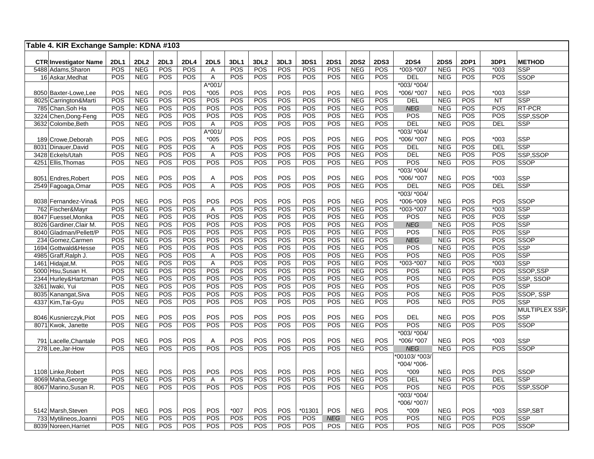| Table 4. KIR Exchange Sample: KDNA #103 |             |                  |      |            |             |        |                  |      |        |             |             |             |                  |             |                  |            |                |
|-----------------------------------------|-------------|------------------|------|------------|-------------|--------|------------------|------|--------|-------------|-------------|-------------|------------------|-------------|------------------|------------|----------------|
| <b>CTR Investigator Name</b>            | <b>2DL1</b> | 2DL <sub>2</sub> | 2DL3 | 2DL4       | <b>2DL5</b> | 3DL1   | 3DL <sub>2</sub> | 3DL3 | 3DS1   | <b>2DS1</b> | <b>2DS2</b> | <b>2DS3</b> | <b>2DS4</b>      | <b>2DS5</b> | <b>2DP1</b>      | 3DP1       | <b>METHOD</b>  |
| 5488 Adams, Sharon                      | POS         | <b>NEG</b>       | POS  | POS        | Α           | POS    | POS              | POS  | POS    | POS         | <b>NEG</b>  | <b>POS</b>  | $*003 * 007$     | <b>NEG</b>  | POS              | $*003$     | <b>SSP</b>     |
| 16 Askar, Medhat                        | POS         | <b>NEG</b>       | POS  | <b>POS</b> | A           | POS    | POS              | POS  | POS    | POS         | <b>NEG</b>  | POS         | <b>DEL</b>       | <b>NEG</b>  | <b>POS</b>       | POS        | <b>SSOP</b>    |
|                                         |             |                  |      |            | A*001/      |        |                  |      |        |             |             |             | *003/ *004/      |             |                  |            |                |
| 8050 Baxter-Lowe, Lee                   | POS         | <b>NEG</b>       | POS  | POS        | $*005$      | POS    | POS              | POS  | POS    | POS         | <b>NEG</b>  | POS         | *006/ *007       | <b>NEG</b>  | <b>POS</b>       | $*003$     | <b>SSP</b>     |
| 8025 Carrington&Marti                   | POS         | <b>NEG</b>       | POS  | POS        | POS         | POS    | POS              | POS  | POS    | POS         | <b>NEG</b>  | POS         | DEL              | <b>NEG</b>  | <b>POS</b>       | <b>NT</b>  | <b>SSP</b>     |
| 785 Chan, Soh Ha                        | POS         | <b>NEG</b>       | POS  | POS        | POS         | POS    | POS              | POS  | POS    | POS         | <b>NEG</b>  | POS         | <b>NEG</b>       | <b>NEG</b>  | POS              | POS        | <b>RT-PCR</b>  |
| 3224 Chen, Dong-Feng                    | POS         | <b>NEG</b>       | POS  | POS        | POS         | POS    | POS              | POS  | POS    | POS         | <b>NEG</b>  | POS         | POS              | <b>NEG</b>  | POS              | POS        | SSP.SSOP       |
| 3632 Colombe, Beth                      | POS         | <b>NEG</b>       | POS  | POS        | Α           | POS    | POS              | POS  | POS    | POS         | <b>NEG</b>  | <b>POS</b>  | DEL              | <b>NEG</b>  | POS              | <b>DEL</b> | <b>SSP</b>     |
|                                         |             |                  |      |            | A*001/      |        |                  |      |        |             |             |             | $*003/*004/$     |             |                  |            |                |
| 189 Crowe, Deborah                      | POS         | <b>NEG</b>       | POS  | POS        | $*005$      | POS    | POS              | POS  | POS    | POS         | <b>NEG</b>  | POS         | *006/ *007       | <b>NEG</b>  | POS              | $*003$     | <b>SSP</b>     |
| 8031 Dinauer, David                     | POS         | <b>NEG</b>       | POS  | POS        | Α           | POS    | POS              | POS  | POS    | POS         | <b>NEG</b>  | POS         | DEL              | <b>NEG</b>  | POS              | DEL        | <b>SSP</b>     |
| 3428 Eckels/Utah                        | POS         | <b>NEG</b>       | POS  | POS        | A           | POS    | POS              | POS  | POS    | <b>POS</b>  | <b>NEG</b>  | <b>POS</b>  | <b>DEL</b>       | <b>NEG</b>  | <b>POS</b>       | POS        | SSP,SSOP       |
| 4251 Ellis, Thomas                      | POS         | <b>NEG</b>       | POS  | POS        | POS         | POS    | POS              | POS  | POS    | POS         | <b>NEG</b>  | <b>POS</b>  | POS              | <b>NEG</b>  | POS              | POS        | <b>SSOP</b>    |
|                                         |             |                  |      |            |             |        |                  |      |        |             |             |             | *003/ *004/      |             |                  |            |                |
| 8051 Endres, Robert                     | POS         | <b>NEG</b>       | POS  | POS        | Α           | POS    | POS              | POS  | POS    | POS         | <b>NEG</b>  | POS         | *006/ *007       | <b>NEG</b>  | POS              | $*003$     | <b>SSP</b>     |
| 2549 Fagoaga, Omar                      | POS         | <b>NEG</b>       | POS  | POS        | Α           | POS    | POS              | POS  | POS    | POS         | <b>NEG</b>  | POS         | <b>DEL</b>       | <b>NEG</b>  | POS              | <b>DEL</b> | <b>SSP</b>     |
|                                         |             |                  |      |            |             |        |                  |      |        |             |             |             | *003/ *004/      |             |                  |            |                |
| 8038 Fernandez-Vina&                    | POS         | <b>NEG</b>       | POS  | POS        | POS         | POS    | POS              | POS  | POS    | POS         | <b>NEG</b>  | POS         | *006-*009        | <b>NEG</b>  | POS              | POS        | <b>SSOP</b>    |
| 762 Fischer&Mayr                        | POS         | <b>NEG</b>       | POS  | POS        | Α           | POS    | POS              | POS  | POS    | POS         | <b>NEG</b>  | POS         | *003-*007        | <b>NEG</b>  | $\overline{POS}$ | $*003$     | <b>SSP</b>     |
| 8047 Fuessel, Monika                    | POS         | <b>NEG</b>       | POS  | POS        | POS         | POS    | POS              | POS  | POS    | POS         | <b>NEG</b>  | POS         | POS              | <b>NEG</b>  | $\overline{POS}$ | POS        | <b>SSP</b>     |
| 8026 Gardiner Clair M.                  | POS         | <b>NEG</b>       | POS  | POS        | POS         | POS    | POS              | POS  | POS    | POS         | <b>NEG</b>  | POS         | <b>NEG</b>       | <b>NEG</b>  | POS              | POS        | <b>SSP</b>     |
| 8040 Gladman/Pellett/P                  | POS         | <b>NEG</b>       | POS  | POS        | POS         | POS    | POS              | POS  | POS    | POS         | <b>NEG</b>  | POS         | POS              | <b>NEG</b>  | POS              | POS        | <b>SSP</b>     |
| 234 Gomez, Carmen                       | POS         | <b>NEG</b>       | POS  | POS        | POS         | POS    | POS              | POS  | POS    | POS         | <b>NEG</b>  | POS         | <b>NEG</b>       | <b>NEG</b>  | POS              | POS        | SSOP           |
| 1694 Gottwald&Hesse                     | POS         | <b>NEG</b>       | POS  | POS        | POS         | POS    | POS              | POS  | POS    | POS         | <b>NEG</b>  | POS         | POS              | <b>NEG</b>  | POS              | POS        | SSP            |
| 4985 Graff, Ralph J.                    | POS         | <b>NEG</b>       | POS  | POS        | Α           | POS    | POS              | POS  | POS    | POS         | <b>NEG</b>  | POS         | POS              | <b>NEG</b>  | POS              | POS        | <b>SSP</b>     |
| 1461 Hidajat, M.                        | POS         | <b>NEG</b>       | POS  | POS        | A           | POS    | POS              | POS  | POS    | POS         | <b>NEG</b>  | POS         | *003-*007        | <b>NEG</b>  | POS              | $*003$     | <b>SSP</b>     |
| 5000 Hsu, Susan H.                      | POS         | <b>NEG</b>       | POS  | POS        | POS         | POS    | POS              | POS  | POS    | POS         | <b>NEG</b>  | POS         | POS              | <b>NEG</b>  | POS              | POS        | SSOP,SSP       |
| 2344 Hurley&Hartzman                    | POS         | <b>NEG</b>       | POS  | POS        | POS         | POS    | POS              | POS  | POS    | POS         | <b>NEG</b>  | POS         | POS              | <b>NEG</b>  | POS              | POS        | SSP. SSOP      |
| 3261 Iwaki, Yui                         | POS         | <b>NEG</b>       | POS  | POS        | POS         | POS    | POS              | POS  | POS    | POS         | <b>NEG</b>  | POS         | POS              | <b>NEG</b>  | POS              | POS        | <b>SSP</b>     |
| 8035 Kanangat, Siva                     | POS         | <b>NEG</b>       | POS  | POS        | POS         | POS    | POS              | POS  | POS    | POS         | <b>NEG</b>  | POS         | $\overline{POS}$ | <b>NEG</b>  | POS              | POS        | SSOP, SSP      |
| 4337 Kim, Tai-Gyu                       | POS         | <b>NEG</b>       | POS  | POS        | POS         | POS    | POS              | POS  | POS    | POS         | <b>NEG</b>  | POS         | POS              | <b>NEG</b>  | POS              | POS        | <b>SSP</b>     |
|                                         |             |                  |      |            |             |        |                  |      |        |             |             |             |                  |             |                  |            | MULTIPLEX SSP, |
| 8046 Kusnierczyk, Piot                  | POS         | <b>NEG</b>       | POS  | POS        | POS         | POS    | POS              | POS  | POS    | POS         | <b>NEG</b>  | POS         | <b>DEL</b>       | <b>NEG</b>  | <b>POS</b>       | POS        | <b>SSP</b>     |
| 8071 Kwok, Janette                      | POS         | <b>NEG</b>       | POS  | POS        | POS         | POS    | POS              | POS  | POS    | POS         | <b>NEG</b>  | <b>POS</b>  | POS              | <b>NEG</b>  | POS              | POS        | SSOP           |
|                                         |             |                  |      |            |             |        |                  |      |        |             |             |             | *003/ *004/      |             |                  |            |                |
| 791 Lacelle, Chantale                   | POS         | <b>NEG</b>       | POS  | POS        | Α           | POS    | POS              | POS  | POS    | POS         | <b>NEG</b>  | POS         | *006/ *007       | <b>NEG</b>  | <b>POS</b>       | $*003$     | <b>SSP</b>     |
| 278 Lee, Jar-How                        | POS         | <b>NEG</b>       | POS  | POS        | POS         | POS    | POS              | POS  | POS    | POS         | <b>NEG</b>  | <b>POS</b>  | <b>NEG</b>       | <b>NEG</b>  | <b>POS</b>       | POS        | SSOP           |
|                                         |             |                  |      |            |             |        |                  |      |        |             |             |             | 00103/ *003/     |             |                  |            |                |
|                                         |             |                  |      |            |             |        |                  |      |        |             |             |             | *004/ *006-      |             |                  |            |                |
| 1108 Linke, Robert                      | POS         | <b>NEG</b>       | POS  | POS        | POS         | POS    | POS              | POS  | POS    | POS         | <b>NEG</b>  | <b>POS</b>  | *009             | <b>NEG</b>  | <b>POS</b>       | POS        | <b>SSOP</b>    |
| 8069 Maha, George                       | POS         | <b>NEG</b>       | POS  | POS        | A           | POS    | POS              | POS  | POS    | POS         | <b>NEG</b>  | <b>POS</b>  | <b>DEL</b>       | <b>NEG</b>  | <b>POS</b>       | <b>DEL</b> | <b>SSP</b>     |
| 8067 Marino, Susan R.                   | POS         | <b>NEG</b>       | POS  | POS        | POS         | POS    | POS              | POS  | POS    | POS         | <b>NEG</b>  | <b>POS</b>  | POS              | <b>NEG</b>  | POS              | POS        | SSP.SSOP       |
|                                         |             |                  |      |            |             |        |                  |      |        |             |             |             | *003/ *004/      |             |                  |            |                |
|                                         |             |                  |      |            |             |        |                  |      |        |             |             |             | *006/ *007/      |             |                  |            |                |
| 5142 Marsh, Steven                      | POS         | <b>NEG</b>       | POS  | POS        | POS         | $*007$ | POS              | POS  | *01301 | POS         | <b>NEG</b>  | POS         | $*009$           | <b>NEG</b>  | <b>POS</b>       | $*003$     | SSP,SBT        |
| 733 Mytilineos, Joanni                  | <b>POS</b>  | <b>NEG</b>       | POS  | POS        | <b>POS</b>  | POS    | POS              | POS  | POS    | <b>NEG</b>  | <b>NEG</b>  | <b>POS</b>  | POS              | <b>NEG</b>  | <b>POS</b>       | POS        | <b>SSP</b>     |
| 8039 Noreen, Harriet                    | POS         | <b>NEG</b>       | POS  | POS        | POS         | POS    | POS              | POS  | POS    | POS         | <b>NEG</b>  | POS         | POS              | <b>NEG</b>  | POS              | POS        | <b>SSOP</b>    |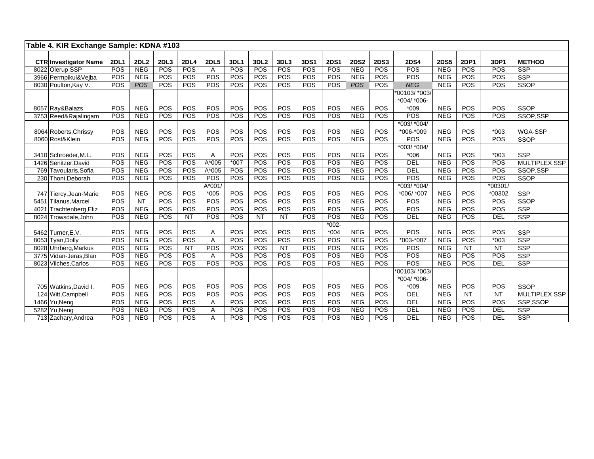|      | Table 4. KIR Exchange Sample: KDNA #103         |                    |                           |             |                    |                  |        |                  |             |             |             |                           |             |                  |             |             |            |                      |
|------|-------------------------------------------------|--------------------|---------------------------|-------------|--------------------|------------------|--------|------------------|-------------|-------------|-------------|---------------------------|-------------|------------------|-------------|-------------|------------|----------------------|
|      |                                                 |                    |                           |             |                    |                  | 3DL1   | 3DL <sub>2</sub> |             | <b>3DS1</b> | <b>2DS1</b> |                           | <b>2DS3</b> | <b>2DS4</b>      | <b>2DS5</b> | <b>2DP1</b> | 3DP1       | <b>METHOD</b>        |
|      | <b>CTR Investigator Name</b><br>8022 Olerup SSP | <b>2DL1</b><br>POS | <b>2DL2</b><br><b>NEG</b> | 2DL3<br>POS | <b>2DL4</b><br>POS | <b>2DL5</b><br>A | POS    | POS              | 3DL3<br>POS | POS         | POS         | <b>2DS2</b><br><b>NEG</b> | POS         | <b>POS</b>       | <b>NEG</b>  | POS         | POS        | <b>SSP</b>           |
|      | 3966 Permpikul&Vejba                            | POS                | <b>NEG</b>                | POS         | POS                | POS              | POS    | POS              | POS         | POS         | POS         | <b>NEG</b>                | POS         | <b>POS</b>       | <b>NEG</b>  | POS         | POS        | SSP                  |
|      | 8030 Poulton, Kay V.                            | POS                | <b>POS</b>                | POS         | POS                | POS              | POS    | POS              | POS         | POS         | POS         | POS                       | <b>POS</b>  | <b>NEG</b>       | <b>NEG</b>  | POS         | POS        | <b>SSOP</b>          |
|      |                                                 |                    |                           |             |                    |                  |        |                  |             |             |             |                           |             | *00103/ *003/    |             |             |            |                      |
|      |                                                 |                    |                           |             |                    |                  |        |                  |             |             |             |                           |             | $*004$ / $*006-$ |             |             |            |                      |
|      | 8057 Ray&Balazs                                 | POS                | <b>NEG</b>                | POS         | POS                | POS              | POS    | POS              | POS         | POS         | POS         | <b>NEG</b>                | POS         | $*009$           | <b>NEG</b>  | POS         | POS        | <b>SSOP</b>          |
|      | 3753 Reed&Rajalingam                            | POS                | <b>NEG</b>                | POS         | POS                | POS              | POS    | POS              | POS         | POS         | POS         | <b>NEG</b>                | POS         | POS              | <b>NEG</b>  | POS         | POS        | SSOP,SSP             |
|      |                                                 |                    |                           |             |                    |                  |        |                  |             |             |             |                           |             | *003/ *004/      |             |             |            |                      |
|      | 8064 Roberts, Chrissy                           | POS                | <b>NEG</b>                | POS         | POS                | POS              | POS    | POS              | POS         | POS         | POS         | <b>NEG</b>                | POS         | *006 *009        | <b>NEG</b>  | <b>POS</b>  | $*003$     | <b>WGA-SSP</b>       |
|      | 8060 Rost&Klein                                 | POS                | <b>NEG</b>                | POS         | POS                | POS              | POS    | POS              | POS         | POS         | POS         | <b>NEG</b>                | POS         | <b>POS</b>       | <b>NEG</b>  | POS         | POS        | <b>SSOP</b>          |
|      |                                                 |                    |                           |             |                    |                  |        |                  |             |             |             |                           |             | *003/ *004/      |             |             |            |                      |
|      | 3410 Schroeder, M.L.                            | POS                | <b>NEG</b>                | POS         | POS                | A                | POS    | POS              | POS         | POS         | POS         | <b>NEG</b>                | POS         | $*006$           | <b>NEG</b>  | <b>POS</b>  | $*003$     | <b>SSP</b>           |
|      | 1426 Senitzer, David                            | POS                | <b>NEG</b>                | POS         | POS                | A*005            | $*007$ | POS              | POS         | POS         | POS         | <b>NEG</b>                | POS         | <b>DEL</b>       | <b>NEG</b>  | <b>POS</b>  | POS        | <b>MULTIPLEX SSP</b> |
|      | 769 Tavoularis, Sofia                           | POS                | <b>NEG</b>                | POS         | POS                | $A*005$          | POS    | POS              | POS         | POS         | POS         | <b>NEG</b>                | POS         | DEL              | <b>NEG</b>  | POS         | POS        | <b>SSOP.SSP</b>      |
|      | 230 Thoni, Deborah                              | POS                | <b>NEG</b>                | POS         | POS                | POS              | POS    | POS              | POS         | POS         | POS         | <b>NEG</b>                | POS         | <b>POS</b>       | <b>NEG</b>  | POS         | POS        | <b>SSOP</b>          |
|      |                                                 |                    |                           |             |                    | A*001/           |        |                  |             |             |             |                           |             | $*003/*004/$     |             |             | *00301/    |                      |
|      | 747 Tiercy, Jean-Marie                          | POS                | <b>NEG</b>                | POS         | POS                | $*005$           | POS    | POS              | POS         | POS         | POS         | <b>NEG</b>                | POS         | *006/ *007       | <b>NEG</b>  | POS         | *00302     | SSP                  |
| 5451 | Tilanus.Marcel                                  | POS                | $\overline{NT}$           | POS         | POS                | POS              | POS    | POS              | POS         | POS         | POS         | <b>NEG</b>                | POS         | <b>POS</b>       | <b>NEG</b>  | POS         | POS        | <b>SSOP</b>          |
| 4021 | Trachtenberg, Eliz                              | POS                | <b>NEG</b>                | POS         | POS                | POS              | POS    | POS              | POS         | POS         | POS         | <b>NEG</b>                | <b>POS</b>  | POS              | <b>NEG</b>  | POS         | POS        | SSP                  |
| 8024 | Trowsdale, John                                 | POS                | <b>NEG</b>                | POS         | <b>NT</b>          | POS              | POS    | <b>NT</b>        | <b>NT</b>   | POS         | POS         | <b>NEG</b>                | POS         | <b>DEL</b>       | <b>NEG</b>  | POS         | <b>DEL</b> | <b>SSP</b>           |
|      |                                                 |                    |                           |             |                    |                  |        |                  |             |             | $*002 -$    |                           |             |                  |             |             |            |                      |
|      | 5462 Turner.E.V.                                | POS                | <b>NEG</b>                | POS         | POS                | Α                | POS    | POS              | POS         | POS         | $*004$      | <b>NEG</b>                | POS         | <b>POS</b>       | <b>NEG</b>  | POS         | POS        | SSP                  |
|      | 8053 Tyan, Dolly                                | POS                | <b>NEG</b>                | POS         | POS                | A                | POS    | POS              | POS         | POS         | <b>POS</b>  | <b>NEG</b>                | POS         | $*003.*007$      | <b>NEG</b>  | POS         | $*003$     | SSP                  |
|      | 8028 Uhrberg, Markus                            | POS                | <b>NEG</b>                | POS         | NT                 | POS              | POS    | POS              | NT          | POS         | POS         | <b>NEG</b>                | POS         | <b>POS</b>       | <b>NEG</b>  | <b>NT</b>   | <b>NT</b>  | SSP                  |
|      | 3775 Vidan-Jeras, Blan                          | POS                | <b>NEG</b>                | POS         | POS                | A                | POS    | <b>POS</b>       | POS         | POS         | POS         | <b>NEG</b>                | POS         | <b>POS</b>       | <b>NEG</b>  | POS         | POS        | SSP                  |
|      | 8023 Vilches, Carlos                            | POS                | <b>NEG</b>                | POS         | POS                | POS              | POS    | POS              | POS         | POS         | POS         | <b>NEG</b>                | POS         | <b>POS</b>       | <b>NEG</b>  | POS         | <b>DEL</b> | <b>SSP</b>           |
|      |                                                 |                    |                           |             |                    |                  |        |                  |             |             |             |                           |             | *00103/ *003/    |             |             |            |                      |
|      |                                                 |                    |                           |             |                    |                  |        |                  |             |             |             |                           |             | $*004$ / $*006-$ |             |             |            |                      |
|      | 705 Watkins, David I.                           | POS                | <b>NEG</b>                | POS         | POS                | POS              | POS    | POS              | POS         | POS         | POS         | <b>NEG</b>                | POS         | $*009$           | <b>NEG</b>  | POS         | POS        | <b>SSOP</b>          |
|      | 124 Witt, Campbell                              | POS                | <b>NEG</b>                | POS         | POS                | <b>POS</b>       | POS    | POS              | POS         | POS         | POS         | <b>NEG</b>                | POS         | <b>DEL</b>       | <b>NEG</b>  | <b>NT</b>   | <b>NT</b>  | <b>MULTIPLEX SSP</b> |
|      | 1466 Yu, Neng                                   | POS                | <b>NEG</b>                | POS         | POS                | Α                | POS    | POS              | POS         | POS         | POS         | <b>NEG</b>                | POS         | <b>DEL</b>       | <b>NEG</b>  | POS         | POS        | SSP,SSOP             |
|      | 5282 Yu, Neng                                   | POS                | <b>NEG</b>                | POS         | POS                | Α                | POS    | <b>POS</b>       | POS         | POS         | POS         | <b>NEG</b>                | <b>POS</b>  | <b>DEL</b>       | <b>NEG</b>  | POS         | DEL        | <b>SSP</b>           |
|      | 713 Zachary, Andrea                             | POS                | <b>NEG</b>                | POS         | POS                | Α                | POS    | POS              | POS         | POS         | POS         | <b>NEG</b>                | <b>POS</b>  | DEL              | <b>NEG</b>  | POS         | DEL        | SSP                  |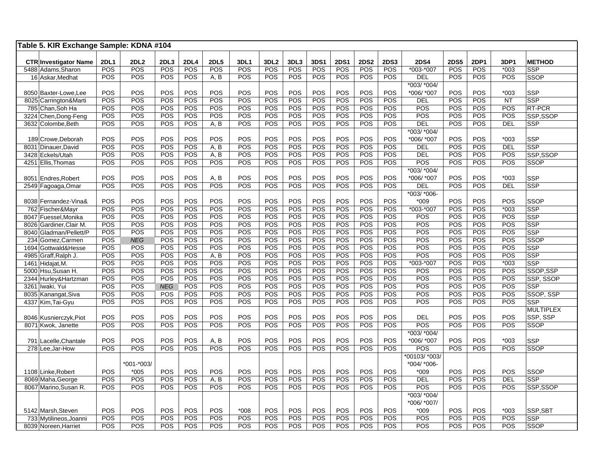| Table 5. KIR Exchange Sample: KDNA #104            |                    |                    |                   |             |                    |                    |                         |                    |                    |                    |                    |                           |                              |                    |                    |                |                             |
|----------------------------------------------------|--------------------|--------------------|-------------------|-------------|--------------------|--------------------|-------------------------|--------------------|--------------------|--------------------|--------------------|---------------------------|------------------------------|--------------------|--------------------|----------------|-----------------------------|
|                                                    |                    |                    |                   |             |                    |                    |                         |                    |                    |                    |                    |                           |                              |                    |                    |                |                             |
| <b>CTR</b> Investigator Name<br>5488 Adams, Sharon | <b>2DL1</b><br>POS | <b>2DL2</b><br>POS | 2DL3<br>POS       | 2DL4<br>POS | <b>2DL5</b><br>POS | <b>3DL1</b><br>POS | 3DL <sub>2</sub><br>POS | 3DL3<br><b>POS</b> | <b>3DS1</b><br>POS | <b>2DS1</b><br>POS | <b>2DS2</b><br>POS | <b>2DS3</b><br><b>POS</b> | <b>2DS4</b><br>$*003 - *007$ | <b>2DS5</b><br>POS | <b>2DP1</b><br>POS | 3DP1<br>$*003$ | <b>METHOD</b><br><b>SSP</b> |
| 16 Askar, Medhat                                   | <b>POS</b>         | POS                | POS               | POS         | A, B               | POS                | POS                     | <b>POS</b>         | POS                | POS                | POS                | POS                       | <b>DEL</b>                   | <b>POS</b>         | POS                | POS            | <b>SSOP</b>                 |
|                                                    |                    |                    |                   |             |                    |                    |                         |                    |                    |                    |                    |                           | *003/ *004/                  |                    |                    |                |                             |
| 8050 Baxter-Lowe, Lee                              | POS                | POS                | POS               | POS         | POS                | POS                | POS                     | <b>POS</b>         | POS                | POS                | POS                | POS                       | *006/ *007                   | POS                | POS                | $*003$         | <b>SSP</b>                  |
| 8025 Carrington&Marti                              | POS                | POS                | POS               | POS         | POS                | POS                | POS                     | POS                | POS                | POS                | POS                | POS                       | <b>DEL</b>                   | POS                | POS                | <b>NT</b>      | <b>SSP</b>                  |
| 785 Chan, Soh Ha                                   | POS                | POS                | POS               | POS         | POS                | POS                | POS                     | <b>POS</b>         | POS                | POS                | POS                | POS                       | POS                          | POS                | POS                | POS            | RT-PCR                      |
| 3224 Chen, Dong-Feng                               | POS                | POS                | POS               | POS         | POS                | POS                | POS                     | POS                | POS                | POS                | POS                | POS                       | POS                          | POS                | POS                | POS            | SSP,SSOP                    |
| 3632 Colombe, Beth                                 | POS                | POS                | POS               | POS         | A, B               | POS                | POS                     | POS                | POS                | POS                | POS                | POS                       | <b>DEL</b>                   | <b>POS</b>         | POS                | <b>DEL</b>     | <b>SSP</b>                  |
|                                                    |                    |                    |                   |             |                    |                    |                         |                    |                    |                    |                    |                           | *003/ *004/                  |                    |                    |                |                             |
| 189 Crowe, Deborah                                 | POS                | POS                | POS               | POS         | POS                | POS                | POS                     | POS                | POS                | POS                | POS                | POS                       | *006/ *007                   | POS                | POS                | $*003$         | <b>SSP</b>                  |
| 8031 Dinauer, David                                | POS                | POS                | POS               | POS         | A, B               | POS                | POS                     | POS                | POS                | POS                | POS                | POS                       | <b>DEL</b>                   | POS                | POS                | <b>DEL</b>     | <b>SSP</b>                  |
| 3428 Eckels/Utah                                   | POS                | POS                | POS               | POS         | A, B               | POS                | POS                     | POS                | POS                | POS                | POS                | POS                       | DEL                          | POS                | POS                | POS            | SSP,SSOP                    |
| 4251 Ellis, Thomas                                 | POS                | POS                | POS               | POS         | POS                | POS                | POS                     | POS                | POS                | POS                | POS                | POS                       | POS                          | POS                | POS                | POS            | <b>SSOP</b>                 |
|                                                    |                    |                    |                   |             |                    |                    |                         |                    |                    |                    |                    |                           | *003/ *004/                  |                    |                    |                |                             |
| 8051 Endres, Robert                                | POS                | POS                | POS               | POS         | A, B               | POS                | POS                     | POS                | POS                | POS                | POS                | POS                       | *006/ *007                   | POS                | POS                | $*003$         | <b>SSP</b>                  |
| 2549 Fagoaga, Omar                                 | POS                | POS                | POS               | POS         | POS                | POS                | POS                     | POS                | POS                | POS                | POS                | POS                       | <b>DEL</b>                   | POS                | POS                | <b>DEL</b>     | <b>SSP</b>                  |
|                                                    |                    |                    |                   |             |                    |                    |                         |                    |                    |                    |                    |                           | *003/ *006-                  |                    |                    |                |                             |
| 8038 Fernandez-Vina&                               | POS<br>POS         | POS<br>POS         | POS<br>POS        | POS<br>POS  | <b>POS</b><br>POS  | POS<br>POS         | POS<br>POS              | POS<br>POS         | POS<br>POS         | POS<br>POS         | POS<br>POS         | POS<br>POS                | $*009$                       | POS<br>POS         | POS<br>POS         | POS<br>$*003$  | <b>SSOP</b><br><b>SSP</b>   |
| 762 Fischer&Mayr                                   | POS                | POS                | POS               | POS         | POS                | POS                | POS                     | POS                | POS                | POS                | POS                | POS                       | *003-*007<br>POS             | POS                | POS                | POS            | <b>SSP</b>                  |
| 8047 Fuessel, Monika<br>8026 Gardiner, Clair M.    | POS                | POS                | POS               | POS         | POS                | POS                | POS                     | POS                | POS                | POS                | POS                | POS                       | POS                          | POS                | POS                | POS            | <b>SSP</b>                  |
| 8040 Gladman/Pellett/P                             | POS                | POS                | POS               | POS         | POS                | POS                | POS                     | POS                | POS                | POS                | POS                | POS                       | POS                          | POS                | POS                | POS            | <b>SSP</b>                  |
| 234 Gomez, Carmen                                  | <b>POS</b>         | <b>NEG</b>         | POS               | POS         | POS                | POS                | POS                     | POS                | POS                | POS                | POS                | POS                       | POS                          | POS                | POS                | POS            | <b>SSOP</b>                 |
| 1694 Gottwald&Hesse                                | POS                | POS                | POS               | POS         | POS                | POS                | POS                     | POS                | POS                | POS                | POS                | POS                       | POS                          | POS                | POS                | POS            | <b>SSP</b>                  |
| 4985 Graff, Ralph J.                               | POS                | POS                | POS               | POS         | A, B               | POS                | POS                     | POS                | POS                | POS                | POS                | POS                       | POS                          | POS                | POS                | POS            | <b>SSP</b>                  |
| 1461 Hidajat, M.                                   | POS                | POS                | POS               | POS         | POS                | POS                | POS                     | POS                | POS                | POS                | POS                | POS                       | *003-*007                    | POS                | POS                | $*003$         | <b>SSP</b>                  |
| 5000 Hsu, Susan H.                                 | POS                | POS                | POS               | POS         | POS                | POS                | POS                     | POS                | POS                | POS                | POS                | POS                       | POS                          | POS                | POS                | POS            | SSOP.SSP                    |
| 2344 Hurley&Hartzman                               | POS                | POS                | POS               | POS         | POS                | POS                | POS                     | POS                | POS                | POS                | POS                | POS                       | POS                          | POS                | POS                | POS            | SSP, SSOP                   |
| 3261 Iwaki, Yui                                    | POS                | POS                | <b>NEG</b>        | POS         | POS                | POS                | POS                     | POS                | POS                | POS                | POS                | POS                       | POS                          | POS                | POS                | POS            | SSP                         |
| 8035 Kanangat, Siva                                | POS                | POS                | POS               | POS         | POS                | POS                | POS                     | POS                | POS                | POS                | POS                | POS                       | POS                          | POS                | POS                | POS            | SSOP, SSP                   |
| 4337 Kim, Tai-Gyu                                  | <b>POS</b>         | POS                | POS               | POS         | POS                | POS                | POS                     | POS                | POS                | POS                | POS                | POS                       | POS                          | POS                | POS                | POS            | <b>SSP</b>                  |
|                                                    |                    |                    |                   |             |                    |                    |                         |                    |                    |                    |                    |                           |                              |                    |                    |                | <b>MULTIPLEX</b>            |
| 8046 Kusnierczyk, Piot                             | POS                | POS                | POS               | POS         | POS                | POS                | POS                     | POS                | POS                | POS                | POS                | POS                       | <b>DEL</b>                   | POS                | POS                | POS            | SSP, SSP                    |
| 8071 Kwok, Janette                                 | POS                | POS                | POS               | POS         | POS                | POS                | POS                     | <b>POS</b>         | POS                | POS                | POS                | POS                       | POS                          | POS                | POS                | POS            | <b>SSOP</b>                 |
|                                                    |                    |                    |                   |             |                    |                    |                         |                    |                    |                    |                    |                           | *003/ *004/                  |                    |                    |                |                             |
| 791 Lacelle, Chantale                              | POS                | POS                | POS               | POS         | A, B               | POS                | POS                     | POS                | POS                | POS                | POS                | POS                       | *006/ *007                   | POS                | POS                | $*003$         | <b>SSP</b>                  |
| 278 Lee, Jar-How                                   | POS                | POS                | POS               | POS         | POS                | POS                | POS                     | POS                | POS                | POS                | POS                | POS                       | POS                          | POS                | POS                | POS            | <b>SSOP</b>                 |
|                                                    |                    |                    |                   |             |                    |                    |                         |                    |                    |                    |                    |                           | *00103/ *003/                |                    |                    |                |                             |
|                                                    |                    | *001-*003/         |                   |             |                    |                    |                         |                    |                    |                    |                    |                           | *004/ *006-                  |                    |                    |                |                             |
| 1108 Linke, Robert                                 | POS                | $*005$             | POS               | POS         | POS                | POS                | POS                     | POS                | POS                | POS                | POS                | POS                       | $*009$                       | POS                | POS                | POS            | <b>SSOP</b>                 |
| 8069 Maha, George                                  | POS                | POS                | POS               | POS         | A, B               | POS                | POS                     | <b>POS</b>         | POS                | POS                | POS                | POS                       | <b>DEL</b>                   | POS                | POS                | <b>DEL</b>     | <b>SSP</b>                  |
| 8067 Marino, Susan R.                              | POS                | POS                | POS               | POS         | POS                | POS                | POS                     | <b>POS</b>         | POS                | POS                | POS                | POS                       | POS                          | <b>POS</b>         | POS                | POS            | SSP,SSOP                    |
|                                                    |                    |                    |                   |             |                    |                    |                         |                    |                    |                    |                    |                           | *003/ *004/                  |                    |                    |                |                             |
|                                                    |                    |                    |                   |             |                    |                    |                         |                    |                    |                    |                    |                           | *006/ *007/                  |                    |                    |                |                             |
| 5142 Marsh, Steven                                 | POS                | POS                | POS               | POS         | POS<br>POS         | $*008$             | POS                     | POS                | POS<br>POS         | POS                | POS<br>POS         | POS<br>POS                | $*009$                       | POS                | POS<br>POS         | $*003$         | SSP,SBT<br><b>SSP</b>       |
| 733 Mytilineos, Joanni                             | POS                | <b>POS</b>         | <b>POS</b><br>POS | POS         |                    | POS                | <b>POS</b><br>POS       | <b>POS</b>         |                    | <b>POS</b>         | POS                |                           | POS<br>POS                   | <b>POS</b>         | POS                | <b>POS</b>     | <b>SSOP</b>                 |
| 8039 Noreen, Harriet                               | POS                | POS                |                   | POS         | POS                | POS                |                         | <b>POS</b>         | POS                | POS                |                    | POS                       |                              | <b>POS</b>         |                    | POS            |                             |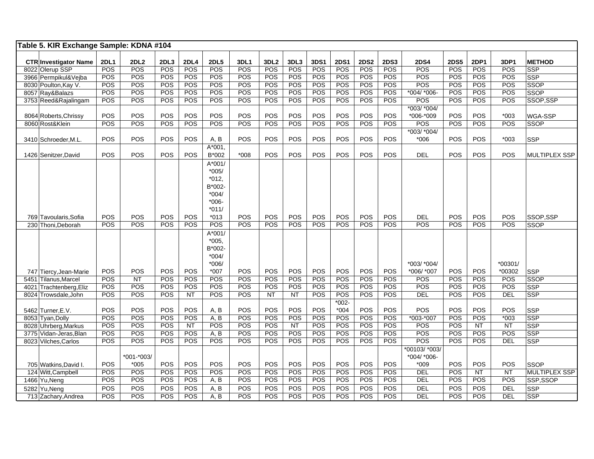| Table 5. KIR Exchange Sample: KDNA #104         |                    |                    |             |                    |                    |                    |                         |             |             |                    |                           |                    |                          |                    |                    |               |                      |
|-------------------------------------------------|--------------------|--------------------|-------------|--------------------|--------------------|--------------------|-------------------------|-------------|-------------|--------------------|---------------------------|--------------------|--------------------------|--------------------|--------------------|---------------|----------------------|
|                                                 |                    |                    |             |                    |                    |                    |                         |             |             |                    |                           |                    |                          |                    |                    |               |                      |
| <b>CTR Investigator Name</b><br>8022 Olerup SSP | <b>2DL1</b><br>POS | <b>2DL2</b><br>POS | 2DL3<br>POS | <b>2DL4</b><br>POS | <b>2DL5</b><br>POS | <b>3DL1</b><br>POS | 3DL <sub>2</sub><br>POS | 3DL3<br>POS | 3DS1<br>POS | <b>2DS1</b><br>POS | <b>2DS2</b><br><b>POS</b> | <b>2DS3</b><br>POS | <b>2DS4</b><br>POS       | <b>2DS5</b><br>POS | <b>2DP1</b><br>POS | 3DP1<br>POS   | <b>METHOD</b><br>SSP |
| 3966 Permpikul&Vejba                            | POS                | POS                | POS         | POS                | POS                | POS                | POS                     | <b>POS</b>  | POS         | POS                | POS                       | POS                | POS                      | POS                | POS                | POS           | <b>SSP</b>           |
| 8030 Poulton, Kay V.                            | POS                | POS                | POS         | POS                | POS                | POS                | POS                     | <b>POS</b>  | POS         | POS                | POS                       | POS                | POS                      | POS                | <b>POS</b>         | POS           | <b>SSOP</b>          |
| 8057 Ray&Balazs                                 | POS                | POS                | POS         | POS                | POS                | POS                | POS                     | POS         | POS         | POS                | POS                       | POS                | *004/ *006-              | POS                | <b>POS</b>         | POS           | SSOP                 |
| 3753 Reed&Rajalingam                            | POS                | POS                | POS         | POS                | POS                | POS                | POS                     | POS         | POS         | POS                | POS                       | POS                | POS                      | POS                | POS                | POS           | SSOP, SSP            |
|                                                 |                    |                    |             |                    |                    |                    |                         |             |             |                    |                           |                    | *003/ *004/              |                    |                    |               |                      |
| 8064 Roberts, Chrissy                           | POS                | POS                | POS         | POS                | POS                | POS                | POS                     | POS         | POS         | POS                | POS                       | POS                | *006-*009                | POS                | POS                | $*003$        | <b>WGA-SSP</b>       |
| 8060 Rost&Klein                                 | POS                | POS                | POS         | POS                | <b>POS</b>         | POS                | POS                     | POS         | POS         | POS                | POS                       | POS                | POS                      | POS                | POS                | POS           | <b>SSOP</b>          |
|                                                 |                    |                    |             |                    |                    |                    |                         |             |             |                    |                           |                    | *003/ *004/              |                    |                    |               |                      |
| 3410 Schroeder, M.L.                            | POS                | POS                | POS         | POS                | A, B               | POS                | POS                     | POS         | POS         | POS                | POS                       | <b>POS</b>         | $*006$                   | POS                | POS                | $*003$        | SSP                  |
|                                                 |                    |                    |             |                    | A*001,             |                    |                         |             |             |                    |                           |                    |                          |                    |                    |               |                      |
| 1426 Senitzer, David                            | <b>POS</b>         | POS                | POS         | POS                | B*002              | $*008$             | POS                     | POS         | POS         | POS                | POS                       | POS                | <b>DEL</b>               | POS                | POS                | <b>POS</b>    | <b>MULTIPLEX SSP</b> |
|                                                 |                    |                    |             |                    | A*001/             |                    |                         |             |             |                    |                           |                    |                          |                    |                    |               |                      |
|                                                 |                    |                    |             |                    | $*005/$            |                    |                         |             |             |                    |                           |                    |                          |                    |                    |               |                      |
|                                                 |                    |                    |             |                    | $*012,$            |                    |                         |             |             |                    |                           |                    |                          |                    |                    |               |                      |
|                                                 |                    |                    |             |                    | B*002-             |                    |                         |             |             |                    |                           |                    |                          |                    |                    |               |                      |
|                                                 |                    |                    |             |                    | $*004/$            |                    |                         |             |             |                    |                           |                    |                          |                    |                    |               |                      |
|                                                 |                    |                    |             |                    | $*006-$            |                    |                         |             |             |                    |                           |                    |                          |                    |                    |               |                      |
|                                                 |                    |                    |             |                    | $*011/$            |                    |                         |             |             |                    |                           |                    |                          |                    |                    |               |                      |
| 769 Tavoularis, Sofia                           | POS                | POS                | POS         | POS                | $*013$             | POS                | POS                     | POS         | POS         | POS                | POS                       | POS                | <b>DEL</b>               | POS                | POS                | POS           | SSOP,SSP             |
| 230 Thoni, Deborah                              | POS                | POS                | POS         | POS                | POS                | POS                | POS                     | <b>POS</b>  | POS         | POS                | POS                       | POS                | POS                      | POS                | POS                | POS           | <b>SSOP</b>          |
|                                                 |                    |                    |             |                    | A*001/             |                    |                         |             |             |                    |                           |                    |                          |                    |                    |               |                      |
|                                                 |                    |                    |             |                    | $*005,$            |                    |                         |             |             |                    |                           |                    |                          |                    |                    |               |                      |
|                                                 |                    |                    |             |                    | B*002-             |                    |                         |             |             |                    |                           |                    |                          |                    |                    |               |                      |
|                                                 |                    |                    |             |                    | $*004/$            |                    |                         |             |             |                    |                           |                    |                          |                    |                    |               |                      |
|                                                 |                    |                    |             |                    | $*006/$            |                    |                         |             |             |                    |                           |                    | *003/ *004/              |                    |                    | $*00301/$     |                      |
| 747 Tiercy, Jean-Marie                          | POS<br>POS         | POS<br><b>NT</b>   | POS<br>POS  | POS                | $*007$<br>POS      | POS<br>POS         | POS<br>POS              | POS<br>POS  | POS<br>POS  | POS<br>POS         | POS<br>POS                | POS<br>POS         | *006/ *007<br><b>POS</b> | POS<br>POS         | POS<br>POS         | *00302<br>POS | SSP<br><b>SSOP</b>   |
| 5451 Tilanus, Marcel<br>4021 Trachtenberg, Eliz | <b>POS</b>         | POS                | POS         | POS<br>POS         | POS                | POS                | POS                     | POS         | POS         | POS                | POS                       | POS                | POS                      | POS                | POS                | POS           | <b>SSP</b>           |
| 8024 Trowsdale.John                             | POS                | POS                | POS         | <b>NT</b>          | POS                | POS                | NT                      | <b>NT</b>   | POS         | POS                | POS                       | POS                | <b>DEL</b>               | POS                | POS                | <b>DEL</b>    | <b>SSP</b>           |
|                                                 |                    |                    |             |                    |                    |                    |                         |             |             | $*002 -$           |                           |                    |                          |                    |                    |               |                      |
| 5462 Turner, E.V.                               | <b>POS</b>         | POS                | POS         | POS                | A, B               | POS                | POS                     | POS         | POS         | $*004$             | POS                       | POS                | <b>POS</b>               | POS                | POS                | POS           | SSP                  |
| 8053 Tyan, Dolly                                | POS                | POS                | POS         | POS                | A, B               | POS                | POS                     | POS         | POS         | POS                | POS                       | POS                | $*003.*007$              | POS                | POS                | $*003$        | SSP                  |
| 8028 Uhrberg, Markus                            | <b>POS</b>         | POS                | POS         | <b>NT</b>          | POS                | POS                | POS                     | <b>NT</b>   | POS         | POS                | POS                       | POS                | POS                      | POS                | <b>NT</b>          | NT            | <b>SSP</b>           |
| 3775 Vidan-Jeras, Blan                          | POS                | POS                | POS         | POS                | A, B               | POS                | POS                     | POS         | POS         | POS                | POS                       | POS                | POS                      | POS                | POS                | POS           | SSP                  |
| 8023 Vilches, Carlos                            | POS                | POS                | POS         | POS                | POS                | POS                | POS                     | POS         | POS         | POS                | POS                       | POS                | POS                      | POS                | POS                | <b>DEL</b>    | SSP                  |
|                                                 |                    |                    |             |                    |                    |                    |                         |             |             |                    |                           |                    | *00103/ *003/            |                    |                    |               |                      |
|                                                 |                    | *001-*003/         |             |                    |                    |                    |                         |             |             |                    |                           |                    | *004/ *006-              |                    |                    |               |                      |
| 705 Watkins.David I.                            | POS                | $*005$             | POS         | POS                | POS                | POS                | <b>POS</b>              | POS         | POS         | POS                | POS                       | <b>POS</b>         | $*009$                   | POS                | POS                | POS           | <b>SSOP</b>          |
| 124 Witt, Campbell                              | POS                | POS                | POS         | POS                | POS                | POS                | POS                     | <b>POS</b>  | POS         | POS                | POS                       | POS                | <b>DEL</b>               | POS                | NT                 | <b>NT</b>     | <b>MULTIPLEX SSP</b> |
| 1466 Yu, Neng                                   | POS                | POS                | POS         | POS                | A, B               | POS                | POS                     | POS         | POS         | POS                | POS                       | POS                | DEL                      | POS                | POS                | POS           | SSP,SSOP             |
| 5282 Yu, Neng                                   | POS                | POS                | POS         | POS                | A, B               | POS                | POS                     | POS         | POS         | POS                | POS                       | POS                | <b>DEL</b>               | POS                | POS                | <b>DEL</b>    | SSP                  |
| 713 Zachary, Andrea                             | POS                | POS                | POS         | POS                | A, B               | POS                | POS                     | <b>POS</b>  | POS         | POS                | POS                       | POS                | <b>DEL</b>               | POS                | POS                | <b>DEL</b>    | SSP                  |